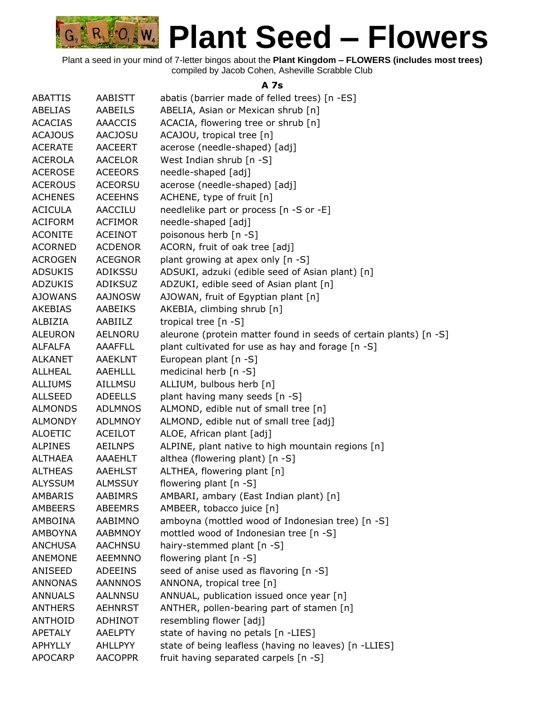

Plant a seed in your mind of 7-letter bingos about the **Plant Kingdom – FLOWERS (includes most trees)** compiled by Jacob Cohen, Asheville Scrabble Club

#### **A 7s**

| <b>ABATTIS</b> | <b>AABISTT</b> | abatis (barrier made of felled trees) [n -ES]                     |
|----------------|----------------|-------------------------------------------------------------------|
| <b>ABELIAS</b> | <b>AABEILS</b> | ABELIA, Asian or Mexican shrub [n]                                |
| <b>ACACIAS</b> | <b>AAACCIS</b> | ACACIA, flowering tree or shrub [n]                               |
| <b>ACAJOUS</b> | <b>AACJOSU</b> | ACAJOU, tropical tree [n]                                         |
| <b>ACERATE</b> | <b>AACEERT</b> | acerose (needle-shaped) [adj]                                     |
| <b>ACEROLA</b> | <b>AACELOR</b> | West Indian shrub [n -S]                                          |
| <b>ACEROSE</b> | <b>ACEEORS</b> | needle-shaped [adj]                                               |
| <b>ACEROUS</b> | <b>ACEORSU</b> | acerose (needle-shaped) [adj]                                     |
| <b>ACHENES</b> | <b>ACEEHNS</b> | ACHENE, type of fruit [n]                                         |
| <b>ACICULA</b> | <b>AACCILU</b> | needlelike part or process [n -S or -E]                           |
| <b>ACIFORM</b> | <b>ACFIMOR</b> | needle-shaped [adj]                                               |
| <b>ACONITE</b> | <b>ACEINOT</b> | poisonous herb [n -S]                                             |
| <b>ACORNED</b> | <b>ACDENOR</b> | ACORN, fruit of oak tree [adj]                                    |
| <b>ACROGEN</b> | <b>ACEGNOR</b> | plant growing at apex only [n -S]                                 |
| <b>ADSUKIS</b> | ADIKSSU        | ADSUKI, adzuki (edible seed of Asian plant) [n]                   |
| <b>ADZUKIS</b> | <b>ADIKSUZ</b> | ADZUKI, edible seed of Asian plant [n]                            |
| <b>AJOWANS</b> | <b>AAJNOSW</b> | AJOWAN, fruit of Egyptian plant [n]                               |
| AKEBIAS        | <b>AABEIKS</b> | AKEBIA, climbing shrub [n]                                        |
| ALBIZIA        | AABIILZ        | tropical tree $[n - S]$                                           |
| <b>ALEURON</b> | <b>AELNORU</b> | aleurone (protein matter found in seeds of certain plants) [n -S] |
| <b>ALFALFA</b> | <b>AAAFFLL</b> | plant cultivated for use as hay and forage [n -S]                 |
| <b>ALKANET</b> | <b>AAEKLNT</b> | European plant [n -S]                                             |
| <b>ALLHEAL</b> | <b>AAEHLLL</b> | medicinal herb [n -S]                                             |
| <b>ALLIUMS</b> | <b>AILLMSU</b> | ALLIUM, bulbous herb [n]                                          |
| <b>ALLSEED</b> | <b>ADEELLS</b> | plant having many seeds [n -S]                                    |
| <b>ALMONDS</b> | <b>ADLMNOS</b> | ALMOND, edible nut of small tree [n]                              |
| <b>ALMONDY</b> | <b>ADLMNOY</b> | ALMOND, edible nut of small tree [adj]                            |
| <b>ALOETIC</b> | <b>ACEILOT</b> | ALOE, African plant [adj]                                         |
| <b>ALPINES</b> | <b>AEILNPS</b> | ALPINE, plant native to high mountain regions [n]                 |
| ALTHAEA        | AAAEHLT        | althea (flowering plant) [n -S]                                   |
| <b>ALTHEAS</b> | AAEHLST        | ALTHEA, flowering plant [n]                                       |
| <b>ALYSSUM</b> | <b>ALMSSUY</b> | flowering plant [n -S]                                            |
| <b>AMBARIS</b> | <b>AABIMRS</b> | AMBARI, ambary (East Indian plant) [n]                            |
| <b>AMBEERS</b> | <b>ABEEMRS</b> | AMBEER, tobacco juice [n]                                         |
| AMBOINA        | AABIMNO        | amboyna (mottled wood of Indonesian tree) [n -S]                  |
| AMBOYNA        | <b>AABMNOY</b> | mottled wood of Indonesian tree [n -S]                            |
| <b>ANCHUSA</b> | <b>AACHNSU</b> | hairy-stemmed plant [n -S]                                        |
| <b>ANEMONE</b> | <b>AEEMNNO</b> | flowering plant [n -S]                                            |
| ANISEED        | <b>ADEEINS</b> | seed of anise used as flavoring [n -S]                            |
| <b>ANNONAS</b> | <b>AANNNOS</b> | ANNONA, tropical tree [n]                                         |
| <b>ANNUALS</b> | <b>AALNNSU</b> | ANNUAL, publication issued once year [n]                          |
| <b>ANTHERS</b> | <b>AEHNRST</b> | ANTHER, pollen-bearing part of stamen [n]                         |
| <b>ANTHOID</b> | <b>ADHINOT</b> | resembling flower [adj]                                           |
| <b>APETALY</b> | <b>AAELPTY</b> | state of having no petals [n -LIES]                               |
| <b>APHYLLY</b> | <b>AHLLPYY</b> | state of being leafless (having no leaves) [n -LLIES]             |
| <b>APOCARP</b> | <b>AACOPPR</b> | fruit having separated carpels [n -S]                             |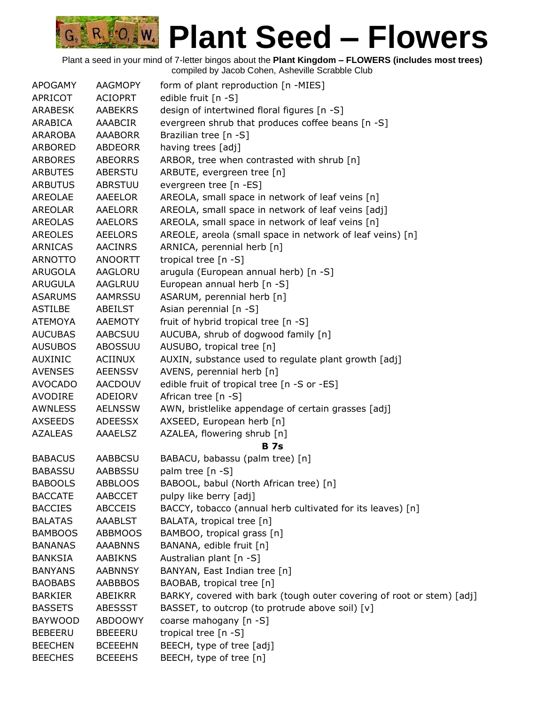| <b>APOGAMY</b> | <b>AAGMOPY</b> | form of plant reproduction [n -MIES]                                  |
|----------------|----------------|-----------------------------------------------------------------------|
| APRICOT        | <b>ACIOPRT</b> | edible fruit [n -S]                                                   |
| <b>ARABESK</b> | <b>AABEKRS</b> | design of intertwined floral figures [n -S]                           |
| ARABICA        | AAABCIR        | evergreen shrub that produces coffee beans [n -S]                     |
| <b>ARAROBA</b> | <b>AAABORR</b> | Brazilian tree [n -S]                                                 |
| ARBORED        | ABDEORR        | having trees [adj]                                                    |
| <b>ARBORES</b> | <b>ABEORRS</b> | ARBOR, tree when contrasted with shrub [n]                            |
| <b>ARBUTES</b> | ABERSTU        | ARBUTE, evergreen tree [n]                                            |
| <b>ARBUTUS</b> | <b>ABRSTUU</b> | evergreen tree [n -ES]                                                |
| <b>AREOLAE</b> | AAEELOR        | AREOLA, small space in network of leaf veins [n]                      |
| <b>AREOLAR</b> | AAELORR        | AREOLA, small space in network of leaf veins [adj]                    |
| <b>AREOLAS</b> | <b>AAELORS</b> | AREOLA, small space in network of leaf veins [n]                      |
| <b>AREOLES</b> | AEELORS        | AREOLE, areola (small space in network of leaf veins) [n]             |
| ARNICAS        | AACINRS        | ARNICA, perennial herb [n]                                            |
| <b>ARNOTTO</b> | <b>ANOORTT</b> | tropical tree [n -S]                                                  |
| ARUGOLA        | AAGLORU        | arugula (European annual herb) [n -S]                                 |
| <b>ARUGULA</b> | AAGLRUU        | European annual herb [n -S]                                           |
| <b>ASARUMS</b> | AAMRSSU        | ASARUM, perennial herb [n]                                            |
| <b>ASTILBE</b> | ABEILST        | Asian perennial [n -S]                                                |
| <b>ATEMOYA</b> | AAEMOTY        | fruit of hybrid tropical tree [n -S]                                  |
| <b>AUCUBAS</b> | AABCSUU        | AUCUBA, shrub of dogwood family [n]                                   |
| <b>AUSUBOS</b> | ABOSSUU        | AUSUBO, tropical tree [n]                                             |
| <b>AUXINIC</b> | <b>ACIINUX</b> | AUXIN, substance used to regulate plant growth [adj]                  |
| <b>AVENSES</b> | <b>AEENSSV</b> | AVENS, perennial herb [n]                                             |
| <b>AVOCADO</b> | AACDOUV        | edible fruit of tropical tree [n -S or -ES]                           |
| AVODIRE        | ADEIORV        | African tree [n -S]                                                   |
| AWNLESS        | <b>AELNSSW</b> | AWN, bristlelike appendage of certain grasses [adj]                   |
| <b>AXSEEDS</b> | ADEESSX        | AXSEED, European herb [n]                                             |
| <b>AZALEAS</b> | AAAELSZ        | AZALEA, flowering shrub [n]                                           |
|                |                | <b>B</b> 7s                                                           |
| <b>BABACUS</b> | <b>AABBCSU</b> | BABACU, babassu (palm tree) [n]                                       |
| <b>BABASSU</b> | <b>AABBSSU</b> | palm tree [n -S]                                                      |
| <b>BABOOLS</b> | <b>ABBLOOS</b> | BABOOL, babul (North African tree) [n]                                |
| <b>BACCATE</b> | AABCCET        | pulpy like berry [adj]                                                |
| <b>BACCIES</b> | <b>ABCCEIS</b> | BACCY, tobacco (annual herb cultivated for its leaves) [n]            |
| <b>BALATAS</b> | <b>AAABLST</b> | BALATA, tropical tree [n]                                             |
| <b>BAMBOOS</b> | <b>ABBMOOS</b> | BAMBOO, tropical grass [n]                                            |
| <b>BANANAS</b> | <b>AAABNNS</b> | BANANA, edible fruit [n]                                              |
| <b>BANKSIA</b> | <b>AABIKNS</b> | Australian plant [n -S]                                               |
| <b>BANYANS</b> | <b>AABNNSY</b> | BANYAN, East Indian tree [n]                                          |
| <b>BAOBABS</b> | AABBBOS        | BAOBAB, tropical tree [n]                                             |
| <b>BARKIER</b> | ABEIKRR        | BARKY, covered with bark (tough outer covering of root or stem) [adj] |
| <b>BASSETS</b> | <b>ABESSST</b> | BASSET, to outcrop (to protrude above soil) [v]                       |
| <b>BAYWOOD</b> | ABDOOWY        | coarse mahogany [n -S]                                                |
| <b>BEBEERU</b> | <b>BBEEERU</b> | tropical tree [n -S]                                                  |
| <b>BEECHEN</b> | <b>BCEEEHN</b> | BEECH, type of tree [adj]                                             |
| <b>BEECHES</b> | <b>BCEEEHS</b> | BEECH, type of tree [n]                                               |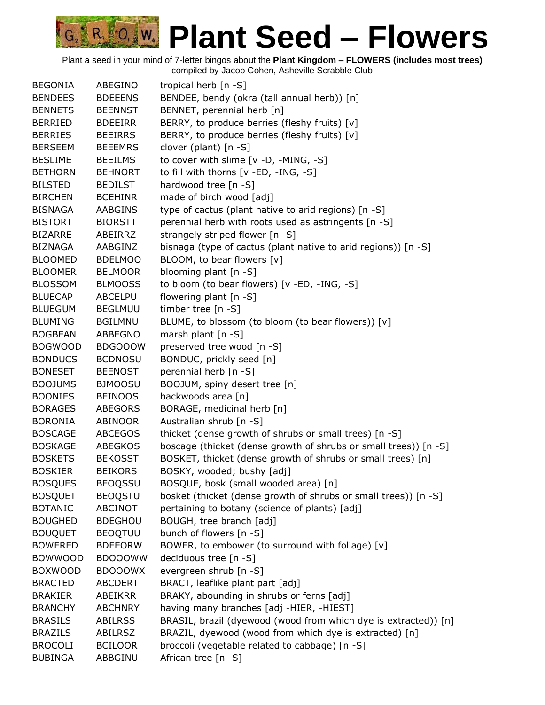| <b>BEGONIA</b> | ABEGINO        | tropical herb [n -S]                                             |
|----------------|----------------|------------------------------------------------------------------|
| <b>BENDEES</b> | <b>BDEEENS</b> | BENDEE, bendy (okra (tall annual herb)) [n]                      |
| <b>BENNETS</b> | <b>BEENNST</b> | BENNET, perennial herb [n]                                       |
| <b>BERRIED</b> | <b>BDEEIRR</b> | BERRY, to produce berries (fleshy fruits) [v]                    |
| <b>BERRIES</b> | <b>BEEIRRS</b> | BERRY, to produce berries (fleshy fruits) [v]                    |
| <b>BERSEEM</b> | <b>BEEEMRS</b> | clover (plant) [n -S]                                            |
| <b>BESLIME</b> | <b>BEEILMS</b> | to cover with slime [v -D, -MING, -S]                            |
| <b>BETHORN</b> | <b>BEHNORT</b> | to fill with thorns [v -ED, -ING, -S]                            |
| <b>BILSTED</b> | <b>BEDILST</b> | hardwood tree [n -S]                                             |
| <b>BIRCHEN</b> | <b>BCEHINR</b> | made of birch wood [adj]                                         |
| <b>BISNAGA</b> | <b>AABGINS</b> | type of cactus (plant native to arid regions) [n -S]             |
| <b>BISTORT</b> | <b>BIORSTT</b> | perennial herb with roots used as astringents [n -S]             |
| <b>BIZARRE</b> | ABEIRRZ        | strangely striped flower [n -S]                                  |
| <b>BIZNAGA</b> | AABGINZ        | bisnaga (type of cactus (plant native to arid regions)) [n -S]   |
| <b>BLOOMED</b> | <b>BDELMOO</b> | BLOOM, to bear flowers [v]                                       |
| <b>BLOOMER</b> | <b>BELMOOR</b> | blooming plant [n -S]                                            |
| <b>BLOSSOM</b> | <b>BLMOOSS</b> | to bloom (to bear flowers) [v -ED, -ING, -S]                     |
| <b>BLUECAP</b> | <b>ABCELPU</b> | flowering plant [n -S]                                           |
| <b>BLUEGUM</b> | <b>BEGLMUU</b> | timber tree [n -S]                                               |
| <b>BLUMING</b> | <b>BGILMNU</b> | BLUME, to blossom (to bloom (to bear flowers)) [v]               |
| <b>BOGBEAN</b> | ABBEGNO        | marsh plant $[n - S]$                                            |
| <b>BOGWOOD</b> | <b>BDGOOOW</b> | preserved tree wood [n -S]                                       |
| <b>BONDUCS</b> | <b>BCDNOSU</b> | BONDUC, prickly seed [n]                                         |
| <b>BONESET</b> | <b>BEENOST</b> | perennial herb [n -S]                                            |
| <b>BOOJUMS</b> | <b>BJMOOSU</b> | BOOJUM, spiny desert tree [n]                                    |
| <b>BOONIES</b> | <b>BEINOOS</b> | backwoods area [n]                                               |
| <b>BORAGES</b> | <b>ABEGORS</b> | BORAGE, medicinal herb [n]                                       |
| <b>BORONIA</b> | ABINOOR        | Australian shrub [n -S]                                          |
| <b>BOSCAGE</b> | <b>ABCEGOS</b> | thicket (dense growth of shrubs or small trees) [n -S]           |
| <b>BOSKAGE</b> | <b>ABEGKOS</b> | boscage (thicket (dense growth of shrubs or small trees)) [n -S] |
| <b>BOSKETS</b> | <b>BEKOSST</b> | BOSKET, thicket (dense growth of shrubs or small trees) [n]      |
| <b>BOSKIER</b> | <b>BEIKORS</b> | BOSKY, wooded; bushy [adj]                                       |
| <b>BOSQUES</b> | <b>BEOQSSU</b> | BOSQUE, bosk (small wooded area) [n]                             |
| <b>BOSQUET</b> | <b>BEOQSTU</b> | bosket (thicket (dense growth of shrubs or small trees)) [n -S]  |
| <b>BOTANIC</b> | ABCINOT        | pertaining to botany (science of plants) [adj]                   |
| <b>BOUGHED</b> | <b>BDEGHOU</b> | BOUGH, tree branch [adj]                                         |
| <b>BOUQUET</b> | <b>BEOQTUU</b> | bunch of flowers [n -S]                                          |
| <b>BOWERED</b> | <b>BDEEORW</b> | BOWER, to embower (to surround with foliage) [v]                 |
| <b>BOWWOOD</b> | <b>BDOOOWW</b> | deciduous tree [n -S]                                            |
| <b>BOXWOOD</b> | <b>BDOOOWX</b> | evergreen shrub [n -S]                                           |
| <b>BRACTED</b> | <b>ABCDERT</b> | BRACT, leaflike plant part [adj]                                 |
| <b>BRAKIER</b> | ABEIKRR        | BRAKY, abounding in shrubs or ferns [adj]                        |
| <b>BRANCHY</b> | <b>ABCHNRY</b> | having many branches [adj -HIER, -HIEST]                         |
| <b>BRASILS</b> | <b>ABILRSS</b> | BRASIL, brazil (dyewood (wood from which dye is extracted)) [n]  |
| <b>BRAZILS</b> | ABILRSZ        | BRAZIL, dyewood (wood from which dye is extracted) [n]           |
| <b>BROCOLI</b> | <b>BCILOOR</b> | broccoli (vegetable related to cabbage) [n -S]                   |
| <b>BUBINGA</b> | ABBGINU        | African tree [n -S]                                              |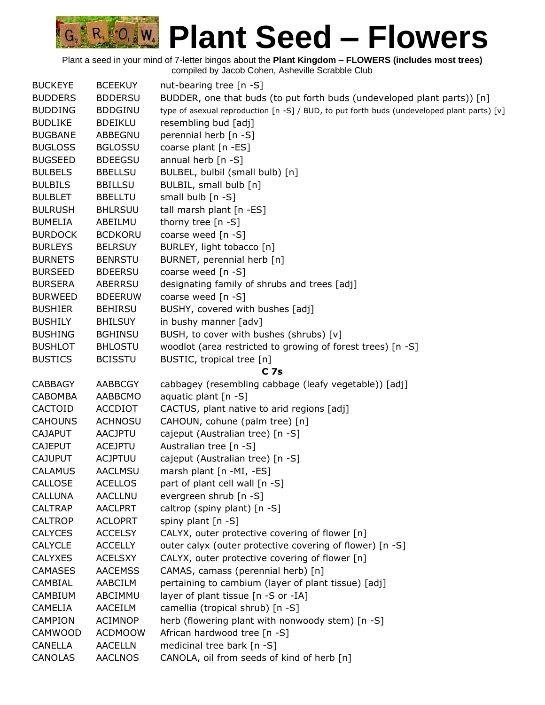

| <b>BUCKEYE</b> | <b>BCEEKUY</b> | nut-bearing tree [n -S]                                                                    |
|----------------|----------------|--------------------------------------------------------------------------------------------|
| <b>BUDDERS</b> | <b>BDDERSU</b> | BUDDER, one that buds (to put forth buds (undeveloped plant parts)) [n]                    |
| <b>BUDDING</b> | <b>BDDGINU</b> | type of asexual reproduction [n -S] / BUD, to put forth buds (undeveloped plant parts) [v] |
| <b>BUDLIKE</b> | <b>BDEIKLU</b> | resembling bud [adj]                                                                       |
| <b>BUGBANE</b> | ABBEGNU        | perennial herb [n -S]                                                                      |
| <b>BUGLOSS</b> | <b>BGLOSSU</b> | coarse plant [n -ES]                                                                       |
| <b>BUGSEED</b> | <b>BDEEGSU</b> | annual herb [n -S]                                                                         |
| <b>BULBELS</b> | <b>BBELLSU</b> | BULBEL, bulbil (small bulb) [n]                                                            |
| <b>BULBILS</b> | <b>BBILLSU</b> | BULBIL, small bulb [n]                                                                     |
| <b>BULBLET</b> | <b>BBELLTU</b> | small bulb [n -S]                                                                          |
| <b>BULRUSH</b> | <b>BHLRSUU</b> | tall marsh plant [n -ES]                                                                   |
| <b>BUMELIA</b> | ABEILMU        | thorny tree $[n - S]$                                                                      |
| <b>BURDOCK</b> | <b>BCDKORU</b> | coarse weed [n -S]                                                                         |
| <b>BURLEYS</b> | <b>BELRSUY</b> | BURLEY, light tobacco [n]                                                                  |
| <b>BURNETS</b> | <b>BENRSTU</b> | BURNET, perennial herb [n]                                                                 |
| <b>BURSEED</b> | <b>BDEERSU</b> | coarse weed [n -S]                                                                         |
| <b>BURSERA</b> | <b>ABERRSU</b> | designating family of shrubs and trees [adj]                                               |
| <b>BURWEED</b> | <b>BDEERUW</b> | coarse weed [n -S]                                                                         |
| <b>BUSHIER</b> | <b>BEHIRSU</b> | BUSHY, covered with bushes [adj]                                                           |
| <b>BUSHILY</b> | <b>BHILSUY</b> | in bushy manner [adv]                                                                      |
| <b>BUSHING</b> | <b>BGHINSU</b> | BUSH, to cover with bushes (shrubs) [v]                                                    |
| <b>BUSHLOT</b> | <b>BHLOSTU</b> | woodlot (area restricted to growing of forest trees) [n -S]                                |
| <b>BUSTICS</b> | <b>BCISSTU</b> | BUSTIC, tropical tree [n]                                                                  |
|                |                | <b>C</b> 7s                                                                                |
| <b>CABBAGY</b> | AABBCGY        | cabbagey (resembling cabbage (leafy vegetable)) [adj]                                      |
| <b>CABOMBA</b> | AABBCMO        | aquatic plant $[n - S]$                                                                    |
| CACTOID        | <b>ACCDIOT</b> | CACTUS, plant native to arid regions [adj]                                                 |
| <b>CAHOUNS</b> | <b>ACHNOSU</b> | CAHOUN, cohune (palm tree) [n]                                                             |
| <b>CAJAPUT</b> | <b>AACJPTU</b> | cajeput (Australian tree) [n -S]                                                           |
| <b>CAJEPUT</b> | <b>ACEJPTU</b> | Australian tree [n -S]                                                                     |
| <b>CAJUPUT</b> | <b>ACJPTUU</b> | cajeput (Australian tree) [n -S]                                                           |
| <b>CALAMUS</b> | <b>AACLMSU</b> | marsh plant [n -MI, -ES]                                                                   |
| CALLOSE        | <b>ACELLOS</b> | part of plant cell wall [n -S]                                                             |
| <b>CALLUNA</b> | <b>AACLLNU</b> | evergreen shrub [n -S]                                                                     |
| <b>CALTRAP</b> | <b>AACLPRT</b> | caltrop (spiny plant) [n -S]                                                               |
| <b>CALTROP</b> | <b>ACLOPRT</b> | spiny plant [n -S]                                                                         |
| <b>CALYCES</b> | <b>ACCELSY</b> | CALYX, outer protective covering of flower [n]                                             |
| <b>CALYCLE</b> | <b>ACCELLY</b> | outer calyx (outer protective covering of flower) [n -S]                                   |
| <b>CALYXES</b> | <b>ACELSXY</b> | CALYX, outer protective covering of flower [n]                                             |
| <b>CAMASES</b> | <b>AACEMSS</b> | CAMAS, camass (perennial herb) [n]                                                         |
| CAMBIAL        | <b>AABCILM</b> | pertaining to cambium (layer of plant tissue) [adj]                                        |
| <b>CAMBIUM</b> | ABCIMMU        | layer of plant tissue [n -S or -IA]                                                        |
| CAMELIA        | AACEILM        | camellia (tropical shrub) [n -S]                                                           |
| <b>CAMPION</b> | <b>ACIMNOP</b> | herb (flowering plant with nonwoody stem) [n -S]                                           |
| <b>CAMWOOD</b> | <b>ACDMOOW</b> | African hardwood tree [n -S]                                                               |
| CANELLA        | <b>AACELLN</b> | medicinal tree bark [n -S]                                                                 |
| CANOLAS        | <b>AACLNOS</b> | CANOLA, oil from seeds of kind of herb [n]                                                 |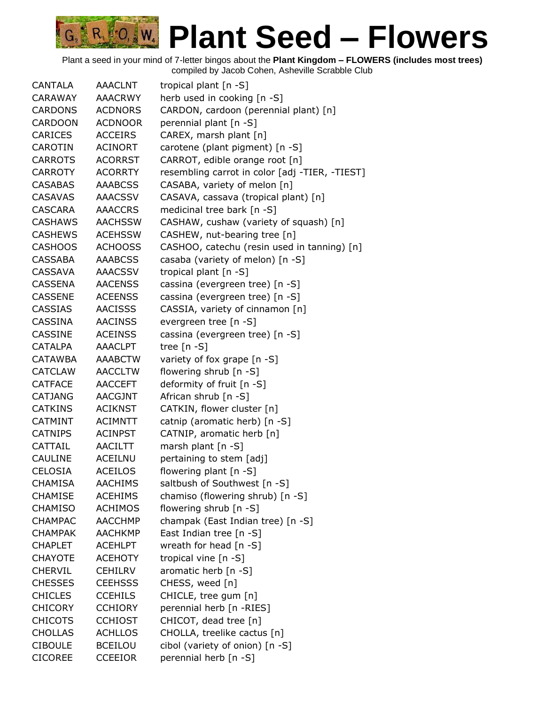| CANTALA        | <b>AAACLNT</b> | tropical plant [n -S]                          |
|----------------|----------------|------------------------------------------------|
| CARAWAY        | <b>AAACRWY</b> | herb used in cooking [n -S]                    |
| <b>CARDONS</b> | <b>ACDNORS</b> | CARDON, cardoon (perennial plant) [n]          |
| <b>CARDOON</b> | <b>ACDNOOR</b> | perennial plant [n -S]                         |
| <b>CARICES</b> | <b>ACCEIRS</b> | CAREX, marsh plant [n]                         |
| CAROTIN        | ACINORT        | carotene (plant pigment) [n -S]                |
| <b>CARROTS</b> | <b>ACORRST</b> | CARROT, edible orange root [n]                 |
| <b>CARROTY</b> | <b>ACORRTY</b> | resembling carrot in color [adj -TIER, -TIEST] |
| <b>CASABAS</b> | <b>AAABCSS</b> | CASABA, variety of melon [n]                   |
| <b>CASAVAS</b> | <b>AAACSSV</b> | CASAVA, cassava (tropical plant) [n]           |
| <b>CASCARA</b> | <b>AAACCRS</b> | medicinal tree bark [n -S]                     |
| <b>CASHAWS</b> | <b>AACHSSW</b> | CASHAW, cushaw (variety of squash) [n]         |
| <b>CASHEWS</b> | <b>ACEHSSW</b> | CASHEW, nut-bearing tree [n]                   |
| <b>CASHOOS</b> | <b>ACHOOSS</b> | CASHOO, catechu (resin used in tanning) [n]    |
| <b>CASSABA</b> | <b>AAABCSS</b> | casaba (variety of melon) [n -S]               |
| CASSAVA        | <b>AAACSSV</b> | tropical plant [n -S]                          |
| CASSENA        | <b>AACENSS</b> | cassina (evergreen tree) [n -S]                |
| <b>CASSENE</b> | <b>ACEENSS</b> | cassina (evergreen tree) [n -S]                |
| <b>CASSIAS</b> | <b>AACISSS</b> | CASSIA, variety of cinnamon [n]                |
| CASSINA        | <b>AACINSS</b> | evergreen tree [n -S]                          |
| <b>CASSINE</b> | <b>ACEINSS</b> | cassina (evergreen tree) [n -S]                |
| <b>CATALPA</b> | <b>AAACLPT</b> | tree $[n - S]$                                 |
| <b>CATAWBA</b> | <b>AAABCTW</b> | variety of fox grape [n -S]                    |
| <b>CATCLAW</b> | <b>AACCLTW</b> | flowering shrub [n -S]                         |
| <b>CATFACE</b> | AACCEFT        | deformity of fruit [n -S]                      |
| <b>CATJANG</b> | <b>AACGJNT</b> | African shrub [n -S]                           |
| <b>CATKINS</b> | <b>ACIKNST</b> | CATKIN, flower cluster [n]                     |
| <b>CATMINT</b> | <b>ACIMNTT</b> | catnip (aromatic herb) [n -S]                  |
| <b>CATNIPS</b> | <b>ACINPST</b> | CATNIP, aromatic herb [n]                      |
| CATTAIL        | <b>AACILTT</b> | marsh plant [n -S]                             |
| <b>CAULINE</b> | <b>ACEILNU</b> | pertaining to stem [adj]                       |
| <b>CELOSIA</b> | <b>ACEILOS</b> | flowering plant $[n - S]$                      |
| <b>CHAMISA</b> | <b>AACHIMS</b> | saltbush of Southwest [n -S]                   |
| <b>CHAMISE</b> | <b>ACEHIMS</b> | chamiso (flowering shrub) [n -S]               |
| <b>CHAMISO</b> | <b>ACHIMOS</b> | flowering shrub [n -S]                         |
| <b>CHAMPAC</b> | <b>AACCHMP</b> | champak (East Indian tree) [n -S]              |
| <b>CHAMPAK</b> | AACHKMP        | East Indian tree [n -S]                        |
| <b>CHAPLET</b> | <b>ACEHLPT</b> | wreath for head [n -S]                         |
| <b>CHAYOTE</b> | <b>ACEHOTY</b> | tropical vine [n -S]                           |
| <b>CHERVIL</b> | <b>CEHILRV</b> | aromatic herb [n -S]                           |
| <b>CHESSES</b> | <b>CEEHSSS</b> | CHESS, weed [n]                                |
| <b>CHICLES</b> | <b>CCEHILS</b> | CHICLE, tree gum [n]                           |
| <b>CHICORY</b> | <b>CCHIORY</b> | perennial herb [n -RIES]                       |
| <b>CHICOTS</b> | <b>CCHIOST</b> | CHICOT, dead tree [n]                          |
| <b>CHOLLAS</b> | <b>ACHLLOS</b> | CHOLLA, treelike cactus [n]                    |
| <b>CIBOULE</b> | <b>BCEILOU</b> | cibol (variety of onion) [n -S]                |
| <b>CICOREE</b> | <b>CCEEIOR</b> | perennial herb [n -S]                          |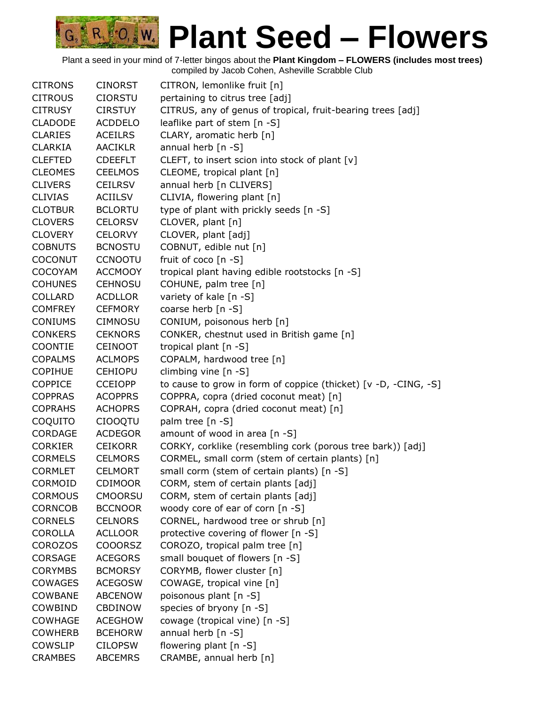| <b>CITRONS</b> | <b>CINORST</b> | CITRON, lemonlike fruit [n]                                     |
|----------------|----------------|-----------------------------------------------------------------|
| <b>CITROUS</b> | <b>CIORSTU</b> | pertaining to citrus tree [adj]                                 |
| <b>CITRUSY</b> | <b>CIRSTUY</b> | CITRUS, any of genus of tropical, fruit-bearing trees [adj]     |
| <b>CLADODE</b> | <b>ACDDELO</b> | leaflike part of stem [n -S]                                    |
| <b>CLARIES</b> | <b>ACEILRS</b> | CLARY, aromatic herb [n]                                        |
| <b>CLARKIA</b> | <b>AACIKLR</b> | annual herb [n -S]                                              |
| <b>CLEFTED</b> | <b>CDEEFLT</b> | CLEFT, to insert scion into stock of plant [v]                  |
| <b>CLEOMES</b> | <b>CEELMOS</b> | CLEOME, tropical plant [n]                                      |
| <b>CLIVERS</b> | <b>CEILRSV</b> | annual herb [n CLIVERS]                                         |
| <b>CLIVIAS</b> | <b>ACIILSV</b> | CLIVIA, flowering plant [n]                                     |
| <b>CLOTBUR</b> | <b>BCLORTU</b> | type of plant with prickly seeds [n -S]                         |
| <b>CLOVERS</b> | <b>CELORSV</b> | CLOVER, plant [n]                                               |
| <b>CLOVERY</b> | <b>CELORVY</b> | CLOVER, plant [adj]                                             |
| <b>COBNUTS</b> | <b>BCNOSTU</b> | COBNUT, edible nut [n]                                          |
| <b>COCONUT</b> | <b>CCNOOTU</b> | fruit of coco [n -S]                                            |
| <b>COCOYAM</b> | <b>ACCMOOY</b> | tropical plant having edible rootstocks [n -S]                  |
| <b>COHUNES</b> | <b>CEHNOSU</b> | COHUNE, palm tree [n]                                           |
| <b>COLLARD</b> | <b>ACDLLOR</b> | variety of kale [n -S]                                          |
| <b>COMFREY</b> | <b>CEFMORY</b> | coarse herb [n -S]                                              |
| <b>CONIUMS</b> | <b>CIMNOSU</b> | CONIUM, poisonous herb [n]                                      |
| <b>CONKERS</b> | <b>CEKNORS</b> | CONKER, chestnut used in British game [n]                       |
| <b>COONTIE</b> | <b>CEINOOT</b> | tropical plant [n -S]                                           |
| <b>COPALMS</b> | <b>ACLMOPS</b> | COPALM, hardwood tree [n]                                       |
| <b>COPIHUE</b> | <b>CEHIOPU</b> | climbing vine [n -S]                                            |
| <b>COPPICE</b> | <b>CCEIOPP</b> | to cause to grow in form of coppice (thicket) [v -D, -CING, -S] |
| <b>COPPRAS</b> | <b>ACOPPRS</b> | COPPRA, copra (dried coconut meat) [n]                          |
| <b>COPRAHS</b> | <b>ACHOPRS</b> | COPRAH, copra (dried coconut meat) [n]                          |
| COQUITO        | <b>CIOOQTU</b> | palm tree [n -S]                                                |
| <b>CORDAGE</b> | <b>ACDEGOR</b> | amount of wood in area [n -S]                                   |
| <b>CORKIER</b> | <b>CEIKORR</b> | CORKY, corklike (resembling cork (porous tree bark)) [adj]      |
| <b>CORMELS</b> | <b>CELMORS</b> | CORMEL, small corm (stem of certain plants) [n]                 |
| <b>CORMLET</b> | <b>CELMORT</b> | small corm (stem of certain plants) [n -S]                      |
| CORMOID        | <b>CDIMOOR</b> | CORM, stem of certain plants [adj]                              |
| <b>CORMOUS</b> | <b>CMOORSU</b> | CORM, stem of certain plants [adj]                              |
| <b>CORNCOB</b> | <b>BCCNOOR</b> | woody core of ear of corn [n -S]                                |
| <b>CORNELS</b> | <b>CELNORS</b> | CORNEL, hardwood tree or shrub [n]                              |
| <b>COROLLA</b> | <b>ACLLOOR</b> | protective covering of flower [n -S]                            |
| <b>COROZOS</b> | <b>COOORSZ</b> | COROZO, tropical palm tree [n]                                  |
| <b>CORSAGE</b> | <b>ACEGORS</b> | small bouquet of flowers [n -S]                                 |
| <b>CORYMBS</b> | <b>BCMORSY</b> | CORYMB, flower cluster [n]                                      |
| <b>COWAGES</b> | <b>ACEGOSW</b> | COWAGE, tropical vine [n]                                       |
| <b>COWBANE</b> | <b>ABCENOW</b> | poisonous plant [n -S]                                          |
| COWBIND        | <b>CBDINOW</b> | species of bryony [n -S]                                        |
| <b>COWHAGE</b> | <b>ACEGHOW</b> | cowage (tropical vine) [n -S]                                   |
| <b>COWHERB</b> | <b>BCEHORW</b> | annual herb [n -S]                                              |
| <b>COWSLIP</b> | <b>CILOPSW</b> | flowering plant [n -S]                                          |
| <b>CRAMBES</b> | <b>ABCEMRS</b> | CRAMBE, annual herb [n]                                         |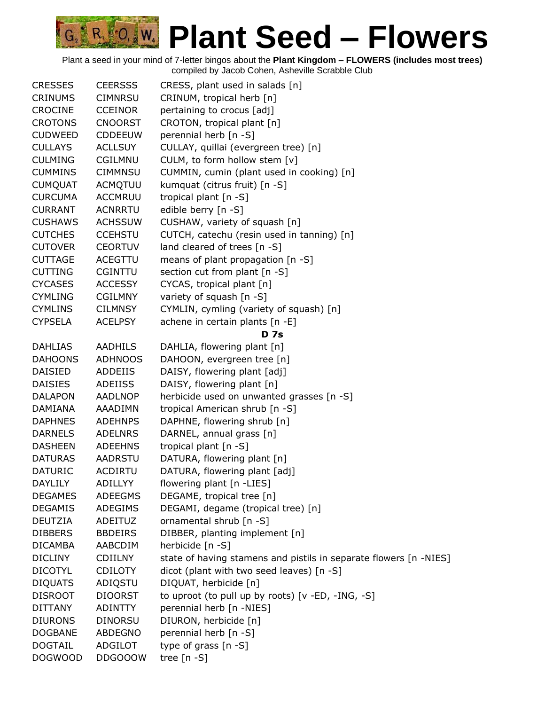| <b>CRESSES</b> | <b>CEERSSS</b> | CRESS, plant used in salads [n]                                   |
|----------------|----------------|-------------------------------------------------------------------|
| <b>CRINUMS</b> | <b>CIMNRSU</b> | CRINUM, tropical herb [n]                                         |
| <b>CROCINE</b> | <b>CCEINOR</b> | pertaining to crocus [adj]                                        |
| <b>CROTONS</b> | <b>CNOORST</b> | CROTON, tropical plant [n]                                        |
| <b>CUDWEED</b> | <b>CDDEEUW</b> | perennial herb [n -S]                                             |
| <b>CULLAYS</b> | <b>ACLLSUY</b> | CULLAY, quillai (evergreen tree) [n]                              |
| <b>CULMING</b> | CGILMNU        | CULM, to form hollow stem [v]                                     |
| <b>CUMMINS</b> | <b>CIMMNSU</b> | CUMMIN, cumin (plant used in cooking) [n]                         |
| <b>CUMQUAT</b> | ACMQTUU        | kumquat (citrus fruit) [n -S]                                     |
| <b>CURCUMA</b> | <b>ACCMRUU</b> | tropical plant [n -S]                                             |
| <b>CURRANT</b> | <b>ACNRRTU</b> | edible berry [n -S]                                               |
| <b>CUSHAWS</b> | <b>ACHSSUW</b> | CUSHAW, variety of squash [n]                                     |
| <b>CUTCHES</b> | <b>CCEHSTU</b> | CUTCH, catechu (resin used in tanning) [n]                        |
| <b>CUTOVER</b> | <b>CEORTUV</b> | land cleared of trees [n -S]                                      |
| <b>CUTTAGE</b> | <b>ACEGTTU</b> | means of plant propagation [n -S]                                 |
| <b>CUTTING</b> | <b>CGINTTU</b> | section cut from plant [n -S]                                     |
| <b>CYCASES</b> | <b>ACCESSY</b> | CYCAS, tropical plant [n]                                         |
| <b>CYMLING</b> | <b>CGILMNY</b> | variety of squash [n -S]                                          |
| <b>CYMLINS</b> | <b>CILMNSY</b> | CYMLIN, cymling (variety of squash) [n]                           |
| <b>CYPSELA</b> | <b>ACELPSY</b> | achene in certain plants [n -E]                                   |
|                |                | <b>D</b> 7s                                                       |
| <b>DAHLIAS</b> | AADHILS        | DAHLIA, flowering plant [n]                                       |
| <b>DAHOONS</b> | <b>ADHNOOS</b> | DAHOON, evergreen tree [n]                                        |
| <b>DAISIED</b> | ADDEIIS        | DAISY, flowering plant [adj]                                      |
| <b>DAISIES</b> | ADEIISS        | DAISY, flowering plant [n]                                        |
| <b>DALAPON</b> | AADLNOP        | herbicide used on unwanted grasses [n -S]                         |
| <b>DAMIANA</b> | AAADIMN        | tropical American shrub [n -S]                                    |
| <b>DAPHNES</b> | <b>ADEHNPS</b> | DAPHNE, flowering shrub [n]                                       |
| <b>DARNELS</b> | <b>ADELNRS</b> | DARNEL, annual grass [n]                                          |
| <b>DASHEEN</b> | <b>ADEEHNS</b> | tropical plant $[n -S]$                                           |
| <b>DATURAS</b> | <b>AADRSTU</b> | DATURA, flowering plant [n]                                       |
| <b>DATURIC</b> | <b>ACDIRTU</b> | DATURA, flowering plant [adj]                                     |
| <b>DAYLILY</b> | <b>ADILLYY</b> | flowering plant [n -LIES]                                         |
| <b>DEGAMES</b> | <b>ADEEGMS</b> | DEGAME, tropical tree [n]                                         |
| <b>DEGAMIS</b> | ADEGIMS        | DEGAMI, degame (tropical tree) [n]                                |
| <b>DEUTZIA</b> | ADEITUZ        | ornamental shrub [n -S]                                           |
| <b>DIBBERS</b> | <b>BBDEIRS</b> | DIBBER, planting implement [n]                                    |
| <b>DICAMBA</b> | AABCDIM        | herbicide [n -S]                                                  |
| <b>DICLINY</b> | <b>CDIILNY</b> | state of having stamens and pistils in separate flowers [n -NIES] |
| <b>DICOTYL</b> | <b>CDILOTY</b> | dicot (plant with two seed leaves) [n -S]                         |
| <b>DIQUATS</b> | ADIQSTU        | DIQUAT, herbicide [n]                                             |
| <b>DISROOT</b> | <b>DIOORST</b> | to uproot (to pull up by roots) [v -ED, -ING, -S]                 |
| <b>DITTANY</b> | ADINTTY        | perennial herb [n -NIES]                                          |
| <b>DIURONS</b> | <b>DINORSU</b> | DIURON, herbicide [n]                                             |
| <b>DOGBANE</b> | ABDEGNO        | perennial herb [n -S]                                             |
| <b>DOGTAIL</b> | <b>ADGILOT</b> | type of grass $[n - S]$                                           |
| <b>DOGWOOD</b> | DDGOOOW        | tree $[n - S]$                                                    |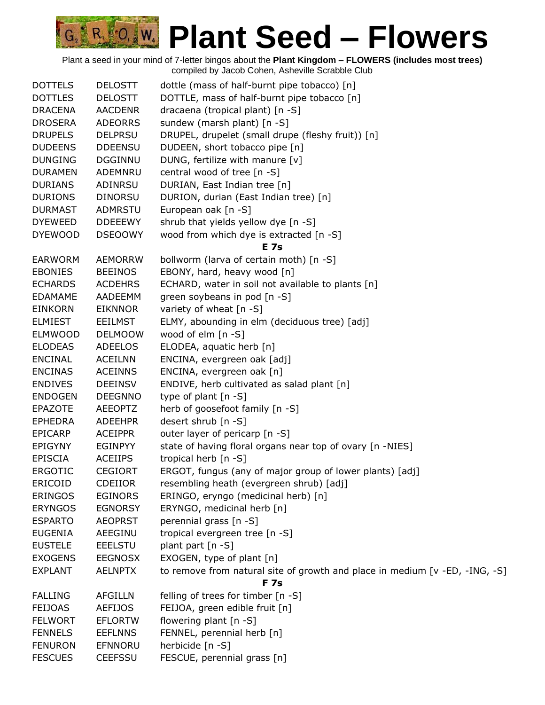| <b>DOTTELS</b> | <b>DELOSTT</b> | dottle (mass of half-burnt pipe tobacco) [n]                                |
|----------------|----------------|-----------------------------------------------------------------------------|
| <b>DOTTLES</b> | <b>DELOSTT</b> | DOTTLE, mass of half-burnt pipe tobacco [n]                                 |
| <b>DRACENA</b> | <b>AACDENR</b> | dracaena (tropical plant) [n -S]                                            |
| <b>DROSERA</b> | <b>ADEORRS</b> | sundew (marsh plant) [n -S]                                                 |
| <b>DRUPELS</b> | <b>DELPRSU</b> | DRUPEL, drupelet (small drupe (fleshy fruit)) [n]                           |
| <b>DUDEENS</b> | <b>DDEENSU</b> | DUDEEN, short tobacco pipe [n]                                              |
| <b>DUNGING</b> | <b>DGGINNU</b> | DUNG, fertilize with manure [v]                                             |
| <b>DURAMEN</b> | ADEMNRU        | central wood of tree [n -S]                                                 |
| <b>DURIANS</b> | ADINRSU        | DURIAN, East Indian tree [n]                                                |
| <b>DURIONS</b> | <b>DINORSU</b> | DURION, durian (East Indian tree) [n]                                       |
| <b>DURMAST</b> | ADMRSTU        | European oak [n -S]                                                         |
| <b>DYEWEED</b> | <b>DDEEEWY</b> | shrub that yields yellow dye [n -S]                                         |
| <b>DYEWOOD</b> | <b>DSEOOWY</b> | wood from which dye is extracted [n -S]                                     |
|                |                | <b>E</b> 7s                                                                 |
| <b>EARWORM</b> | <b>AEMORRW</b> | bollworm (larva of certain moth) [n -S]                                     |
| <b>EBONIES</b> | <b>BEEINOS</b> | EBONY, hard, heavy wood [n]                                                 |
| <b>ECHARDS</b> | <b>ACDEHRS</b> | ECHARD, water in soil not available to plants [n]                           |
| <b>EDAMAME</b> | AADEEMM        | green soybeans in pod [n -S]                                                |
| <b>EINKORN</b> | <b>EIKNNOR</b> | variety of wheat [n -S]                                                     |
| <b>ELMIEST</b> | <b>EEILMST</b> | ELMY, abounding in elm (deciduous tree) [adj]                               |
| <b>ELMWOOD</b> | <b>DELMOOW</b> | wood of elm $[n - S]$                                                       |
| <b>ELODEAS</b> | <b>ADEELOS</b> | ELODEA, aquatic herb [n]                                                    |
| <b>ENCINAL</b> | <b>ACEILNN</b> | ENCINA, evergreen oak [adj]                                                 |
| <b>ENCINAS</b> | <b>ACEINNS</b> | ENCINA, evergreen oak [n]                                                   |
| <b>ENDIVES</b> | <b>DEEINSV</b> | ENDIVE, herb cultivated as salad plant [n]                                  |
| <b>ENDOGEN</b> | <b>DEEGNNO</b> | type of plant $[n - S]$                                                     |
| <b>EPAZOTE</b> | <b>AEEOPTZ</b> | herb of goosefoot family [n -S]                                             |
| <b>EPHEDRA</b> | <b>ADEEHPR</b> | desert shrub [n -S]                                                         |
| <b>EPICARP</b> | <b>ACEIPPR</b> | outer layer of pericarp [n -S]                                              |
| <b>EPIGYNY</b> | EGINPYY        | state of having floral organs near top of ovary [n -NIES]                   |
| <b>EPISCIA</b> | <b>ACEIIPS</b> | tropical herb [n -S]                                                        |
| <b>ERGOTIC</b> | <b>CEGIORT</b> | ERGOT, fungus (any of major group of lower plants) [adj]                    |
| ERICOID        | <b>CDEIIOR</b> | resembling heath (evergreen shrub) [adj]                                    |
| <b>ERINGOS</b> | <b>EGINORS</b> | ERINGO, eryngo (medicinal herb) [n]                                         |
| <b>ERYNGOS</b> | <b>EGNORSY</b> | ERYNGO, medicinal herb [n]                                                  |
| <b>ESPARTO</b> | <b>AEOPRST</b> | perennial grass [n -S]                                                      |
| <b>EUGENIA</b> | AEEGINU        | tropical evergreen tree [n -S]                                              |
| <b>EUSTELE</b> | <b>EEELSTU</b> | plant part [n -S]                                                           |
| <b>EXOGENS</b> | <b>EEGNOSX</b> | EXOGEN, type of plant [n]                                                   |
| <b>EXPLANT</b> | <b>AELNPTX</b> | to remove from natural site of growth and place in medium [v -ED, -ING, -S] |
|                |                | <b>F</b> 7s                                                                 |
| <b>FALLING</b> | <b>AFGILLN</b> | felling of trees for timber [n -S]                                          |
| <b>FEIJOAS</b> | <b>AEFIJOS</b> | FEIJOA, green edible fruit [n]                                              |
| <b>FELWORT</b> | <b>EFLORTW</b> | flowering plant [n -S]                                                      |
| <b>FENNELS</b> | <b>EEFLNNS</b> | FENNEL, perennial herb [n]                                                  |
| <b>FENURON</b> | <b>EFNNORU</b> | herbicide [n -S]                                                            |
| <b>FESCUES</b> | <b>CEEFSSU</b> | FESCUE, perennial grass [n]                                                 |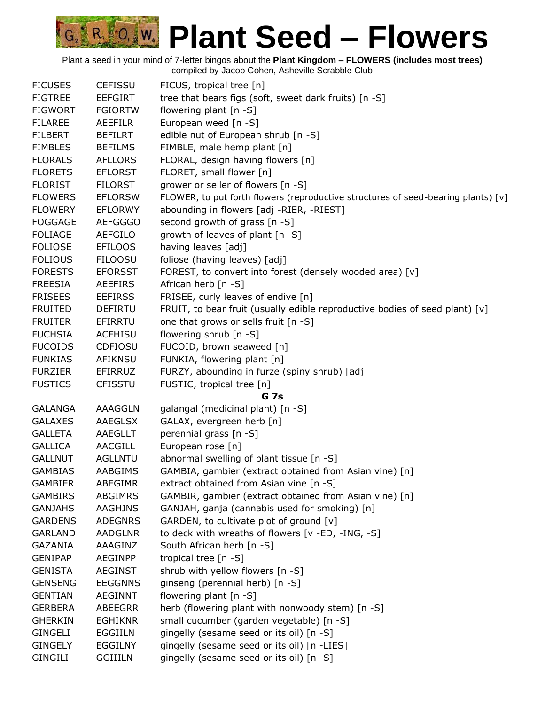| <b>FICUSES</b> | <b>CEFISSU</b> | FICUS, tropical tree [n]                                                          |
|----------------|----------------|-----------------------------------------------------------------------------------|
| <b>FIGTREE</b> | <b>EEFGIRT</b> | tree that bears figs (soft, sweet dark fruits) [n -S]                             |
| <b>FIGWORT</b> | <b>FGIORTW</b> | flowering plant [n -S]                                                            |
| <b>FILAREE</b> | <b>AEEFILR</b> | European weed [n -S]                                                              |
| <b>FILBERT</b> | <b>BEFILRT</b> | edible nut of European shrub [n -S]                                               |
| <b>FIMBLES</b> | <b>BEFILMS</b> | FIMBLE, male hemp plant [n]                                                       |
| <b>FLORALS</b> | <b>AFLLORS</b> | FLORAL, design having flowers [n]                                                 |
| <b>FLORETS</b> | <b>EFLORST</b> | FLORET, small flower [n]                                                          |
| <b>FLORIST</b> | <b>FILORST</b> | grower or seller of flowers [n -S]                                                |
| <b>FLOWERS</b> | <b>EFLORSW</b> | FLOWER, to put forth flowers (reproductive structures of seed-bearing plants) [v] |
| <b>FLOWERY</b> | <b>EFLORWY</b> | abounding in flowers [adj -RIER, -RIEST]                                          |
| <b>FOGGAGE</b> | <b>AEFGGGO</b> | second growth of grass [n -S]                                                     |
| <b>FOLIAGE</b> | <b>AEFGILO</b> | growth of leaves of plant [n -S]                                                  |
| <b>FOLIOSE</b> | <b>EFILOOS</b> | having leaves [adj]                                                               |
| <b>FOLIOUS</b> | <b>FILOOSU</b> | foliose (having leaves) [adj]                                                     |
| <b>FORESTS</b> | <b>EFORSST</b> | FOREST, to convert into forest (densely wooded area) [v]                          |
| <b>FREESIA</b> | AEEFIRS        | African herb $[n -S]$                                                             |
| <b>FRISEES</b> | <b>EEFIRSS</b> | FRISEE, curly leaves of endive [n]                                                |
| <b>FRUITED</b> | <b>DEFIRTU</b> | FRUIT, to bear fruit (usually edible reproductive bodies of seed plant) [v]       |
| <b>FRUITER</b> | EFIRRTU        | one that grows or sells fruit [n -S]                                              |
| <b>FUCHSIA</b> | <b>ACFHISU</b> | flowering shrub [n -S]                                                            |
| <b>FUCOIDS</b> | <b>CDFIOSU</b> | FUCOID, brown seaweed [n]                                                         |
| <b>FUNKIAS</b> | AFIKNSU        | FUNKIA, flowering plant [n]                                                       |
| <b>FURZIER</b> | EFIRRUZ        | FURZY, abounding in furze (spiny shrub) [adj]                                     |
| <b>FUSTICS</b> | <b>CFISSTU</b> | FUSTIC, tropical tree [n]                                                         |
|                |                | <b>G</b> 7s                                                                       |
| <b>GALANGA</b> | <b>AAAGGLN</b> | galangal (medicinal plant) [n -S]                                                 |
| <b>GALAXES</b> | AAEGLSX        | GALAX, evergreen herb [n]                                                         |
| <b>GALLETA</b> | AAEGLLT        | perennial grass [n -S]                                                            |
| <b>GALLICA</b> | <b>AACGILL</b> | European rose [n]                                                                 |
| <b>GALLNUT</b> | <b>AGLLNTU</b> | abnormal swelling of plant tissue [n -S]                                          |
| <b>GAMBIAS</b> | AABGIMS        | GAMBIA, gambier (extract obtained from Asian vine) [n]                            |
| <b>GAMBIER</b> | <b>ABEGIMR</b> | extract obtained from Asian vine [n -S]                                           |
| <b>GAMBIRS</b> | <b>ABGIMRS</b> | GAMBIR, gambier (extract obtained from Asian vine) [n]                            |
| <b>GANJAHS</b> | <b>AAGHJNS</b> | GANJAH, ganja (cannabis used for smoking) [n]                                     |
| <b>GARDENS</b> | <b>ADEGNRS</b> | GARDEN, to cultivate plot of ground [v]                                           |
| <b>GARLAND</b> | <b>AADGLNR</b> | to deck with wreaths of flowers [v -ED, -ING, -S]                                 |
| <b>GAZANIA</b> | AAAGINZ        | South African herb [n -S]                                                         |
| <b>GENIPAP</b> | AEGINPP        | tropical tree [n -S]                                                              |
| <b>GENISTA</b> | AEGINST        | shrub with yellow flowers [n -S]                                                  |
| <b>GENSENG</b> | <b>EEGGNNS</b> | ginseng (perennial herb) [n -S]                                                   |
| <b>GENTIAN</b> | <b>AEGINNT</b> | flowering plant [n -S]                                                            |
| <b>GERBERA</b> | ABEEGRR        | herb (flowering plant with nonwoody stem) [n -S]                                  |
| <b>GHERKIN</b> | <b>EGHIKNR</b> | small cucumber (garden vegetable) [n -S]                                          |
| GINGELI        | EGGIILN        | gingelly (sesame seed or its oil) [n -S]                                          |
| <b>GINGELY</b> | <b>EGGILNY</b> |                                                                                   |
|                |                | gingelly (sesame seed or its oil) [n -LIES]                                       |
| GINGILI        | <b>GGIIILN</b> | gingelly (sesame seed or its oil) [n -S]                                          |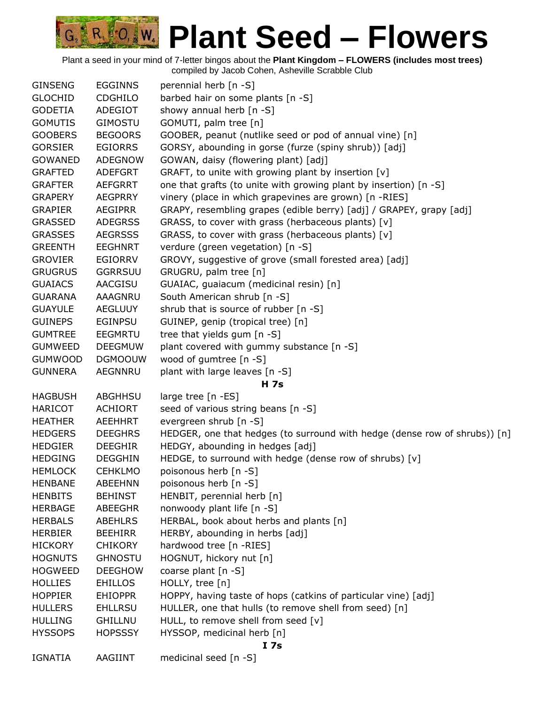

| <b>GINSENG</b> | <b>EGGINNS</b> | perennial herb [n -S]                                                      |
|----------------|----------------|----------------------------------------------------------------------------|
| <b>GLOCHID</b> | <b>CDGHILO</b> | barbed hair on some plants [n -S]                                          |
| <b>GODETIA</b> | ADEGIOT        | showy annual herb [n -S]                                                   |
| <b>GOMUTIS</b> | <b>GIMOSTU</b> | GOMUTI, palm tree [n]                                                      |
| <b>GOOBERS</b> | <b>BEGOORS</b> | GOOBER, peanut (nutlike seed or pod of annual vine) [n]                    |
| <b>GORSIER</b> | <b>EGIORRS</b> | GORSY, abounding in gorse (furze (spiny shrub)) [adj]                      |
| <b>GOWANED</b> | <b>ADEGNOW</b> | GOWAN, daisy (flowering plant) [adj]                                       |
| <b>GRAFTED</b> | <b>ADEFGRT</b> | GRAFT, to unite with growing plant by insertion [v]                        |
| <b>GRAFTER</b> | <b>AEFGRRT</b> | one that grafts (to unite with growing plant by insertion) [n -S]          |
| <b>GRAPERY</b> | <b>AEGPRRY</b> | vinery (place in which grapevines are grown) [n -RIES]                     |
| <b>GRAPIER</b> | <b>AEGIPRR</b> | GRAPY, resembling grapes (edible berry) [adj] / GRAPEY, grapy [adj]        |
| <b>GRASSED</b> | <b>ADEGRSS</b> | GRASS, to cover with grass (herbaceous plants) [v]                         |
| <b>GRASSES</b> | <b>AEGRSSS</b> | GRASS, to cover with grass (herbaceous plants) [v]                         |
| <b>GREENTH</b> | <b>EEGHNRT</b> | verdure (green vegetation) [n -S]                                          |
| <b>GROVIER</b> | <b>EGIORRV</b> | GROVY, suggestive of grove (small forested area) [adj]                     |
| <b>GRUGRUS</b> | <b>GGRRSUU</b> | GRUGRU, palm tree [n]                                                      |
| <b>GUAIACS</b> | AACGISU        | GUAIAC, guaiacum (medicinal resin) [n]                                     |
| <b>GUARANA</b> | AAAGNRU        | South American shrub [n -S]                                                |
| <b>GUAYULE</b> | <b>AEGLUUY</b> | shrub that is source of rubber [n -S]                                      |
| <b>GUINEPS</b> | <b>EGINPSU</b> | GUINEP, genip (tropical tree) [n]                                          |
| <b>GUMTREE</b> | <b>EEGMRTU</b> | tree that yields gum [n -S]                                                |
| <b>GUMWEED</b> | <b>DEEGMUW</b> | plant covered with gummy substance [n -S]                                  |
| <b>GUMWOOD</b> | <b>DGMOOUW</b> | wood of gumtree [n -S]                                                     |
| <b>GUNNERA</b> | <b>AEGNNRU</b> | plant with large leaves [n -S]                                             |
|                |                | H 7s                                                                       |
| <b>HAGBUSH</b> | ABGHHSU        | large tree [n -ES]                                                         |
| <b>HARICOT</b> | <b>ACHIORT</b> | seed of various string beans [n -S]                                        |
| <b>HEATHER</b> | <b>AEEHHRT</b> | evergreen shrub [n -S]                                                     |
| <b>HEDGERS</b> | <b>DEEGHRS</b> | HEDGER, one that hedges (to surround with hedge (dense row of shrubs)) [n] |
| <b>HEDGIER</b> | <b>DEEGHIR</b> | HEDGY, abounding in hedges [adj]                                           |
| <b>HEDGING</b> | <b>DEGGHIN</b> | HEDGE, to surround with hedge (dense row of shrubs) [v]                    |
| <b>HEMLOCK</b> | <b>CEHKLMO</b> | poisonous herb [n -S]                                                      |
| <b>HENBANE</b> | <b>ABEEHNN</b> | poisonous herb [n -S]                                                      |
| <b>HENBITS</b> | <b>BEHINST</b> | HENBIT, perennial herb [n]                                                 |
| <b>HERBAGE</b> | <b>ABEEGHR</b> | nonwoody plant life [n -S]                                                 |
| <b>HERBALS</b> | ABEHLRS        | HERBAL, book about herbs and plants [n]                                    |
| <b>HERBIER</b> | <b>BEEHIRR</b> | HERBY, abounding in herbs [adj]                                            |
| <b>HICKORY</b> | <b>CHIKORY</b> | hardwood tree [n -RIES]                                                    |
| <b>HOGNUTS</b> | <b>GHNOSTU</b> | HOGNUT, hickory nut [n]                                                    |
| <b>HOGWEED</b> | <b>DEEGHOW</b> | coarse plant [n -S]                                                        |
| <b>HOLLIES</b> | <b>EHILLOS</b> | HOLLY, tree [n]                                                            |
| <b>HOPPIER</b> | <b>EHIOPPR</b> | HOPPY, having taste of hops (catkins of particular vine) [adj]             |
| <b>HULLERS</b> | <b>EHLLRSU</b> | HULLER, one that hulls (to remove shell from seed) [n]                     |
| <b>HULLING</b> | <b>GHILLNU</b> | HULL, to remove shell from seed [v]                                        |
| <b>HYSSOPS</b> | <b>HOPSSSY</b> | HYSSOP, medicinal herb [n]                                                 |
|                |                | I 7s                                                                       |
| <b>IGNATIA</b> | AAGIINT        | medicinal seed [n -S]                                                      |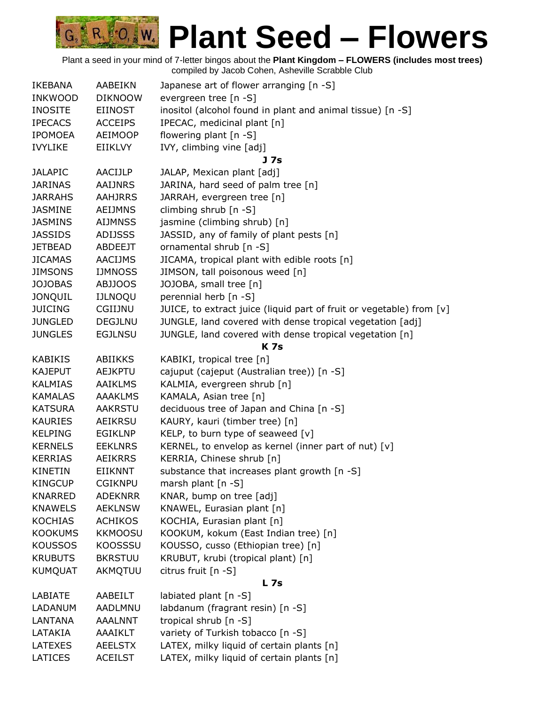| <b>IKEBANA</b> | AABEIKN        | Japanese art of flower arranging [n -S]                              |
|----------------|----------------|----------------------------------------------------------------------|
| <b>INKWOOD</b> | <b>DIKNOOW</b> | evergreen tree [n -S]                                                |
| <b>INOSITE</b> | <b>EIINOST</b> | inositol (alcohol found in plant and animal tissue) [n -S]           |
| <b>IPECACS</b> | <b>ACCEIPS</b> | IPECAC, medicinal plant [n]                                          |
| <b>IPOMOEA</b> | <b>AEIMOOP</b> | flowering plant $[n - S]$                                            |
| <b>IVYLIKE</b> | EIIKLVY        | IVY, climbing vine [adj]                                             |
|                |                | J 7s                                                                 |
| <b>JALAPIC</b> | AACIJLP        | JALAP, Mexican plant [adj]                                           |
| <b>JARINAS</b> | <b>AAIJNRS</b> | JARINA, hard seed of palm tree [n]                                   |
| <b>JARRAHS</b> | <b>AAHJRRS</b> | JARRAH, evergreen tree [n]                                           |
| <b>JASMINE</b> | <b>AEIJMNS</b> | climbing shrub [n -S]                                                |
| <b>JASMINS</b> | <b>AIJMNSS</b> | jasmine (climbing shrub) [n]                                         |
| <b>JASSIDS</b> | <b>ADIJSSS</b> | JASSID, any of family of plant pests [n]                             |
| <b>JETBEAD</b> | ABDEEJT        | ornamental shrub [n -S]                                              |
| <b>JICAMAS</b> | <b>AACIJMS</b> | JICAMA, tropical plant with edible roots [n]                         |
| <b>JIMSONS</b> | <b>IJMNOSS</b> | JIMSON, tall poisonous weed [n]                                      |
| <b>JOJOBAS</b> | <b>ABJJOOS</b> | JOJOBA, small tree [n]                                               |
| <b>JONQUIL</b> | <b>IJLNOQU</b> | perennial herb [n -S]                                                |
| <b>JUICING</b> | CGIIJNU        | JUICE, to extract juice (liquid part of fruit or vegetable) from [v] |
| <b>JUNGLED</b> | <b>DEGJLNU</b> | JUNGLE, land covered with dense tropical vegetation [adj]            |
| <b>JUNGLES</b> | <b>EGJLNSU</b> | JUNGLE, land covered with dense tropical vegetation [n]              |
|                |                | <b>K7s</b>                                                           |
| <b>KABIKIS</b> | <b>ABIIKKS</b> | KABIKI, tropical tree [n]                                            |
| <b>KAJEPUT</b> | <b>AEJKPTU</b> | cajuput (cajeput (Australian tree)) [n -S]                           |
| <b>KALMIAS</b> | <b>AAIKLMS</b> | KALMIA, evergreen shrub [n]                                          |
| <b>KAMALAS</b> | <b>AAAKLMS</b> | KAMALA, Asian tree [n]                                               |
| <b>KATSURA</b> | AAKRSTU        | deciduous tree of Japan and China [n -S]                             |
| <b>KAURIES</b> | <b>AEIKRSU</b> | KAURY, kauri (timber tree) [n]                                       |
| <b>KELPING</b> | <b>EGIKLNP</b> | KELP, to burn type of seaweed $[v]$                                  |
| <b>KERNELS</b> | <b>EEKLNRS</b> | KERNEL, to envelop as kernel (inner part of nut) [v]                 |
| <b>KERRIAS</b> | <b>AEIKRRS</b> | KERRIA, Chinese shrub [n]                                            |
| <b>KINETIN</b> | <b>EIIKNNT</b> | substance that increases plant growth [n -S]                         |
| <b>KINGCUP</b> | <b>CGIKNPU</b> | marsh plant [n -S]                                                   |
| <b>KNARRED</b> | <b>ADEKNRR</b> | KNAR, bump on tree [adj]                                             |
| <b>KNAWELS</b> | <b>AEKLNSW</b> | KNAWEL, Eurasian plant [n]                                           |
| <b>KOCHIAS</b> | <b>ACHIKOS</b> | KOCHIA, Eurasian plant [n]                                           |
| <b>KOOKUMS</b> | <b>KKMOOSU</b> | KOOKUM, kokum (East Indian tree) [n]                                 |
| <b>KOUSSOS</b> | <b>KOOSSSU</b> | KOUSSO, cusso (Ethiopian tree) [n]                                   |
| <b>KRUBUTS</b> | <b>BKRSTUU</b> | KRUBUT, krubi (tropical plant) [n]                                   |
| <b>KUMQUAT</b> | AKMQTUU        | citrus fruit [n -S]                                                  |
|                |                | <b>L7s</b>                                                           |
| LABIATE        | AABEILT        | labiated plant [n -S]                                                |
| LADANUM        | AADLMNU        | labdanum (fragrant resin) [n -S]                                     |
| LANTANA        | <b>AAALNNT</b> | tropical shrub [n -S]                                                |
| LATAKIA        | AAAIKLT        | variety of Turkish tobacco [n -S]                                    |
| LATEXES        | <b>AEELSTX</b> | LATEX, milky liquid of certain plants [n]                            |
| LATICES        | <b>ACEILST</b> | LATEX, milky liquid of certain plants [n]                            |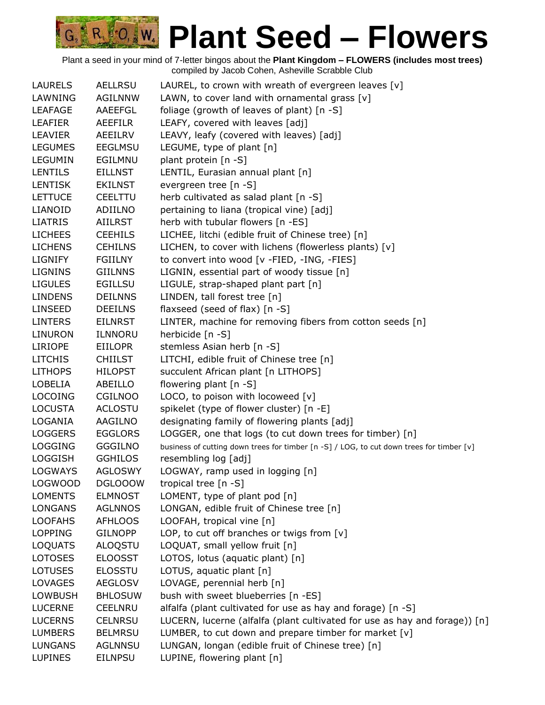| LAURELS        | <b>AELLRSU</b> | LAUREL, to crown with wreath of evergreen leaves $[v]$                                   |
|----------------|----------------|------------------------------------------------------------------------------------------|
| LAWNING        | <b>AGILNNW</b> | LAWN, to cover land with ornamental grass [v]                                            |
| <b>LEAFAGE</b> | AAEEFGL        | foliage (growth of leaves of plant) [n -S]                                               |
| <b>LEAFIER</b> | <b>AEEFILR</b> | LEAFY, covered with leaves [adj]                                                         |
| <b>LEAVIER</b> | <b>AEEILRV</b> | LEAVY, leafy (covered with leaves) [adj]                                                 |
| <b>LEGUMES</b> | <b>EEGLMSU</b> | LEGUME, type of plant [n]                                                                |
| <b>LEGUMIN</b> | EGILMNU        | plant protein [n -S]                                                                     |
| <b>LENTILS</b> | <b>EILLNST</b> | LENTIL, Eurasian annual plant [n]                                                        |
| <b>LENTISK</b> | <b>EKILNST</b> | evergreen tree [n -S]                                                                    |
| <b>LETTUCE</b> | <b>CEELTTU</b> | herb cultivated as salad plant [n -S]                                                    |
| LIANOID        | ADIILNO        | pertaining to liana (tropical vine) [adj]                                                |
| <b>LIATRIS</b> | <b>AIILRST</b> | herb with tubular flowers [n -ES]                                                        |
| <b>LICHEES</b> | <b>CEEHILS</b> | LICHEE, litchi (edible fruit of Chinese tree) [n]                                        |
| <b>LICHENS</b> | <b>CEHILNS</b> | LICHEN, to cover with lichens (flowerless plants) [v]                                    |
| <b>LIGNIFY</b> | <b>FGIILNY</b> | to convert into wood [v -FIED, -ING, -FIES]                                              |
| <b>LIGNINS</b> | <b>GIILNNS</b> | LIGNIN, essential part of woody tissue [n]                                               |
| <b>LIGULES</b> | <b>EGILLSU</b> | LIGULE, strap-shaped plant part [n]                                                      |
| <b>LINDENS</b> | <b>DEILNNS</b> | LINDEN, tall forest tree [n]                                                             |
| <b>LINSEED</b> | <b>DEEILNS</b> | flaxseed (seed of flax) [n -S]                                                           |
| <b>LINTERS</b> | <b>EILNRST</b> | LINTER, machine for removing fibers from cotton seeds [n]                                |
| LINURON        | ILNNORU        | herbicide [n -S]                                                                         |
| <b>LIRIOPE</b> | <b>EIILOPR</b> | stemless Asian herb [n -S]                                                               |
| <b>LITCHIS</b> | <b>CHIILST</b> | LITCHI, edible fruit of Chinese tree [n]                                                 |
| <b>LITHOPS</b> | <b>HILOPST</b> | succulent African plant [n LITHOPS]                                                      |
| <b>LOBELIA</b> | ABEILLO        | flowering plant [n -S]                                                                   |
| <b>LOCOING</b> | <b>CGILNOO</b> | LOCO, to poison with locoweed [v]                                                        |
| <b>LOCUSTA</b> | <b>ACLOSTU</b> | spikelet (type of flower cluster) [n -E]                                                 |
| LOGANIA        | AAGILNO        | designating family of flowering plants [adj]                                             |
| <b>LOGGERS</b> | <b>EGGLORS</b> | LOGGER, one that logs (to cut down trees for timber) [n]                                 |
| <b>LOGGING</b> | <b>GGGILNO</b> | business of cutting down trees for timber [n -S] / LOG, to cut down trees for timber [v] |
| <b>LOGGISH</b> | <b>GGHILOS</b> | resembling log [adj]                                                                     |
| <b>LOGWAYS</b> | <b>AGLOSWY</b> | LOGWAY, ramp used in logging [n]                                                         |
| <b>LOGWOOD</b> | <b>DGLOOOW</b> | tropical tree $[n - S]$                                                                  |
| <b>LOMENTS</b> | <b>ELMNOST</b> | LOMENT, type of plant pod [n]                                                            |
| <b>LONGANS</b> | <b>AGLNNOS</b> | LONGAN, edible fruit of Chinese tree [n]                                                 |
| <b>LOOFAHS</b> | <b>AFHLOOS</b> | LOOFAH, tropical vine [n]                                                                |
| <b>LOPPING</b> | <b>GILNOPP</b> | LOP, to cut off branches or twigs from [v]                                               |
| <b>LOQUATS</b> | ALOQSTU        | LOQUAT, small yellow fruit [n]                                                           |
| <b>LOTOSES</b> | <b>ELOOSST</b> | LOTOS, lotus (aquatic plant) [n]                                                         |
| <b>LOTUSES</b> | <b>ELOSSTU</b> | LOTUS, aquatic plant [n]                                                                 |
| <b>LOVAGES</b> | <b>AEGLOSV</b> | LOVAGE, perennial herb [n]                                                               |
| <b>LOWBUSH</b> | <b>BHLOSUW</b> | bush with sweet blueberries [n -ES]                                                      |
| <b>LUCERNE</b> | <b>CEELNRU</b> | alfalfa (plant cultivated for use as hay and forage) [n -S]                              |
| <b>LUCERNS</b> | <b>CELNRSU</b> | LUCERN, lucerne (alfalfa (plant cultivated for use as hay and forage)) [n]               |
| <b>LUMBERS</b> | <b>BELMRSU</b> | LUMBER, to cut down and prepare timber for market [v]                                    |
| <b>LUNGANS</b> | <b>AGLNNSU</b> | LUNGAN, longan (edible fruit of Chinese tree) [n]                                        |
| <b>LUPINES</b> | <b>EILNPSU</b> | LUPINE, flowering plant [n]                                                              |
|                |                |                                                                                          |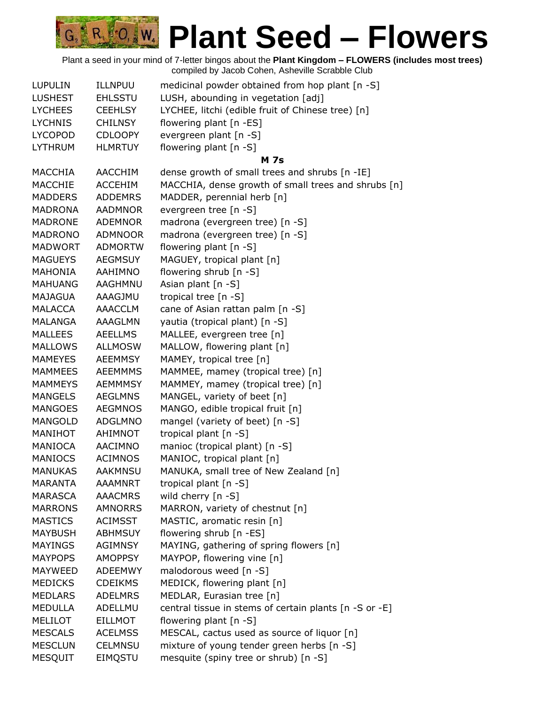| <b>LUPULIN</b> | ILLNPUU        | medicinal powder obtained from hop plant [n -S]        |
|----------------|----------------|--------------------------------------------------------|
| <b>LUSHEST</b> | <b>EHLSSTU</b> | LUSH, abounding in vegetation [adj]                    |
| <b>LYCHEES</b> | <b>CEEHLSY</b> | LYCHEE, litchi (edible fruit of Chinese tree) [n]      |
| <b>LYCHNIS</b> | <b>CHILNSY</b> | flowering plant [n -ES]                                |
| <b>LYCOPOD</b> | <b>CDLOOPY</b> | evergreen plant [n -S]                                 |
| <b>LYTHRUM</b> | <b>HLMRTUY</b> | flowering plant [n -S]                                 |
|                |                | <b>M</b> 7s                                            |
| MACCHIA        | AACCHIM        | dense growth of small trees and shrubs [n -IE]         |
| MACCHIE        | <b>ACCEHIM</b> | MACCHIA, dense growth of small trees and shrubs [n]    |
| <b>MADDERS</b> | <b>ADDEMRS</b> | MADDER, perennial herb [n]                             |
| <b>MADRONA</b> | <b>AADMNOR</b> | evergreen tree [n -S]                                  |
| <b>MADRONE</b> | <b>ADEMNOR</b> | madrona (evergreen tree) [n -S]                        |
| <b>MADRONO</b> | <b>ADMNOOR</b> | madrona (evergreen tree) [n -S]                        |
| MADWORT        | <b>ADMORTW</b> | flowering plant [n -S]                                 |
| <b>MAGUEYS</b> | <b>AEGMSUY</b> | MAGUEY, tropical plant [n]                             |
| MAHONIA        | AAHIMNO        | flowering shrub [n -S]                                 |
| <b>MAHUANG</b> | AAGHMNU        | Asian plant [n -S]                                     |
| <b>MAJAGUA</b> | AAAGJMU        | tropical tree [n -S]                                   |
| <b>MALACCA</b> | <b>AAACCLM</b> | cane of Asian rattan palm [n -S]                       |
| <b>MALANGA</b> | <b>AAAGLMN</b> | yautia (tropical plant) [n -S]                         |
| <b>MALLEES</b> | <b>AEELLMS</b> | MALLEE, evergreen tree [n]                             |
| <b>MALLOWS</b> | <b>ALLMOSW</b> | MALLOW, flowering plant [n]                            |
| <b>MAMEYES</b> | <b>AEEMMSY</b> | MAMEY, tropical tree [n]                               |
| <b>MAMMEES</b> | <b>AEEMMMS</b> | MAMMEE, mamey (tropical tree) [n]                      |
| <b>MAMMEYS</b> | <b>AEMMMSY</b> | MAMMEY, mamey (tropical tree) [n]                      |
| <b>MANGELS</b> | <b>AEGLMNS</b> | MANGEL, variety of beet [n]                            |
| <b>MANGOES</b> | <b>AEGMNOS</b> | MANGO, edible tropical fruit [n]                       |
| <b>MANGOLD</b> | <b>ADGLMNO</b> | mangel (variety of beet) [n -S]                        |
| MANIHOT        | <b>AHIMNOT</b> | tropical plant [n -S]                                  |
| <b>MANIOCA</b> | AACIMNO        | manioc (tropical plant) [n -S]                         |
| <b>MANIOCS</b> | <b>ACIMNOS</b> | MANIOC, tropical plant [n]                             |
| <b>MANUKAS</b> | <b>AAKMNSU</b> | MANUKA, small tree of New Zealand [n]                  |
| <b>MARANTA</b> | <b>AAAMNRT</b> | tropical plant [n -S]                                  |
| <b>MARASCA</b> | <b>AAACMRS</b> | wild cherry [n -S]                                     |
| <b>MARRONS</b> | <b>AMNORRS</b> | MARRON, variety of chestnut [n]                        |
| <b>MASTICS</b> | <b>ACIMSST</b> | MASTIC, aromatic resin [n]                             |
| <b>MAYBUSH</b> | <b>ABHMSUY</b> | flowering shrub [n -ES]                                |
| <b>MAYINGS</b> | <b>AGIMNSY</b> | MAYING, gathering of spring flowers [n]                |
| <b>MAYPOPS</b> | <b>AMOPPSY</b> | MAYPOP, flowering vine [n]                             |
| MAYWEED        | ADEEMWY        | malodorous weed [n -S]                                 |
| <b>MEDICKS</b> | <b>CDEIKMS</b> | MEDICK, flowering plant [n]                            |
| <b>MEDLARS</b> | <b>ADELMRS</b> | MEDLAR, Eurasian tree [n]                              |
| <b>MEDULLA</b> | ADELLMU        | central tissue in stems of certain plants [n -S or -E] |
| <b>MELILOT</b> | <b>EILLMOT</b> | flowering plant $[n - S]$                              |
| <b>MESCALS</b> | <b>ACELMSS</b> | MESCAL, cactus used as source of liquor [n]            |
| <b>MESCLUN</b> | <b>CELMNSU</b> | mixture of young tender green herbs [n -S]             |
| <b>MESQUIT</b> | EIMQSTU        | mesquite (spiny tree or shrub) [n -S]                  |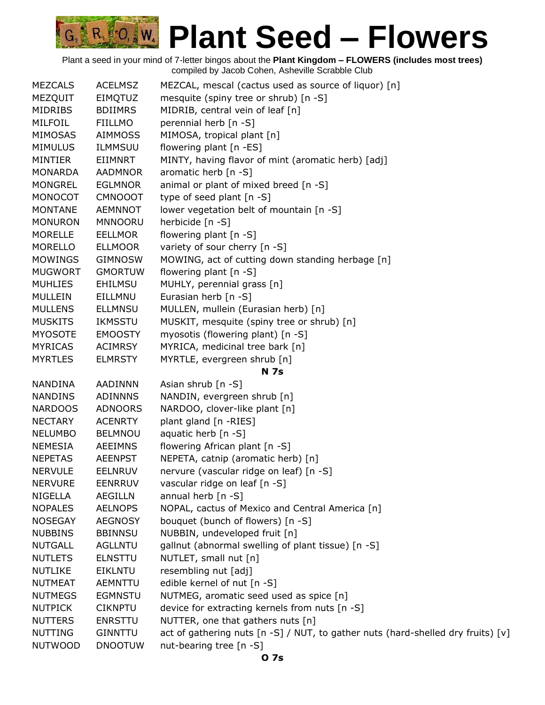R. O. W. **Plant Seed – Flowers**

| <b>MEZCALS</b> | <b>ACELMSZ</b> | MEZCAL, mescal (cactus used as source of liquor) [n]                             |
|----------------|----------------|----------------------------------------------------------------------------------|
| MEZQUIT        | EIMQTUZ        | mesquite (spiny tree or shrub) [n -S]                                            |
| <b>MIDRIBS</b> | <b>BDIIMRS</b> | MIDRIB, central vein of leaf [n]                                                 |
| MILFOIL        | <b>FIILLMO</b> | perennial herb [n -S]                                                            |
| <b>MIMOSAS</b> | <b>AIMMOSS</b> | MIMOSA, tropical plant [n]                                                       |
| <b>MIMULUS</b> | ILMMSUU        | flowering plant [n -ES]                                                          |
| <b>MINTIER</b> | EIIMNRT        | MINTY, having flavor of mint (aromatic herb) [adj]                               |
| <b>MONARDA</b> | <b>AADMNOR</b> | aromatic herb $[n - S]$                                                          |
| <b>MONGREL</b> | <b>EGLMNOR</b> | animal or plant of mixed breed [n -S]                                            |
| <b>MONOCOT</b> | <b>CMNOOOT</b> | type of seed plant [n -S]                                                        |
| <b>MONTANE</b> | <b>AEMNNOT</b> | lower vegetation belt of mountain [n -S]                                         |
| <b>MONURON</b> | <b>MNNOORU</b> | herbicide [n -S]                                                                 |
| <b>MORELLE</b> | <b>EELLMOR</b> | flowering plant [n -S]                                                           |
| MORELLO        | <b>ELLMOOR</b> | variety of sour cherry [n -S]                                                    |
| <b>MOWINGS</b> | <b>GIMNOSW</b> | MOWING, act of cutting down standing herbage [n]                                 |
| <b>MUGWORT</b> | <b>GMORTUW</b> | flowering plant [n -S]                                                           |
| <b>MUHLIES</b> | EHILMSU        | MUHLY, perennial grass [n]                                                       |
| MULLEIN        | EILLMNU        | Eurasian herb [n -S]                                                             |
| <b>MULLENS</b> | <b>ELLMNSU</b> | MULLEN, mullein (Eurasian herb) [n]                                              |
| <b>MUSKITS</b> | <b>IKMSSTU</b> | MUSKIT, mesquite (spiny tree or shrub) [n]                                       |
| <b>MYOSOTE</b> | <b>EMOOSTY</b> | myosotis (flowering plant) [n -S]                                                |
| <b>MYRICAS</b> | <b>ACIMRSY</b> | MYRICA, medicinal tree bark [n]                                                  |
| <b>MYRTLES</b> | <b>ELMRSTY</b> | MYRTLE, evergreen shrub [n]                                                      |
|                |                | <b>N</b> 7s                                                                      |
| NANDINA        | AADINNN        | Asian shrub [n -S]                                                               |
| <b>NANDINS</b> | <b>ADINNNS</b> | NANDIN, evergreen shrub [n]                                                      |
| <b>NARDOOS</b> | ADNOORS        | NARDOO, clover-like plant [n]                                                    |
| <b>NECTARY</b> | <b>ACENRTY</b> | plant gland [n -RIES]                                                            |
| <b>NELUMBO</b> | <b>BELMNOU</b> | aquatic herb [n -S]                                                              |
| <b>NEMESIA</b> | AEEIMNS        | flowering African plant [n -S]                                                   |
| <b>NEPETAS</b> | <b>AEENPST</b> | NEPETA, catnip (aromatic herb) [n]                                               |
| <b>NERVULE</b> | <b>EELNRUV</b> | nervure (vascular ridge on leaf) [n -S]                                          |
| <b>NERVURE</b> | <b>EENRRUV</b> | vascular ridge on leaf [n -S]                                                    |
| <b>NIGELLA</b> | <b>AEGILLN</b> | annual herb [n -S]                                                               |
| <b>NOPALES</b> | <b>AELNOPS</b> | NOPAL, cactus of Mexico and Central America [n]                                  |
| <b>NOSEGAY</b> | <b>AEGNOSY</b> | bouquet (bunch of flowers) [n -S]                                                |
| <b>NUBBINS</b> | <b>BBINNSU</b> | NUBBIN, undeveloped fruit [n]                                                    |
| <b>NUTGALL</b> | <b>AGLLNTU</b> | gallnut (abnormal swelling of plant tissue) [n -S]                               |
| <b>NUTLETS</b> | <b>ELNSTTU</b> | NUTLET, small nut [n]                                                            |
| <b>NUTLIKE</b> | EIKLNTU        | resembling nut [adj]                                                             |
| <b>NUTMEAT</b> | <b>AEMNTTU</b> | edible kernel of nut [n -S]                                                      |
| <b>NUTMEGS</b> | <b>EGMNSTU</b> | NUTMEG, aromatic seed used as spice [n]                                          |
| <b>NUTPICK</b> | <b>CIKNPTU</b> | device for extracting kernels from nuts [n -S]                                   |
| <b>NUTTERS</b> | <b>ENRSTTU</b> | NUTTER, one that gathers nuts [n]                                                |
| <b>NUTTING</b> | <b>GINNTTU</b> | act of gathering nuts [n -S] / NUT, to gather nuts (hard-shelled dry fruits) [v] |
| <b>NUTWOOD</b> | <b>DNOOTUW</b> | nut-bearing tree [n -S]                                                          |
|                |                |                                                                                  |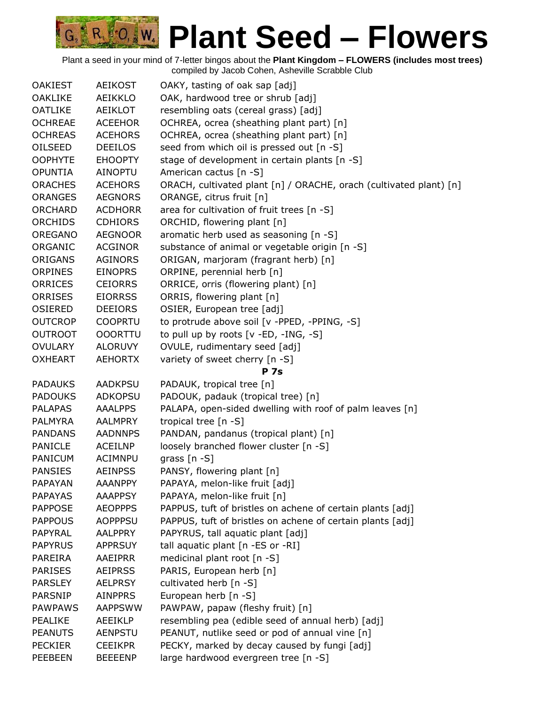| <b>OAKIEST</b> | <b>AEIKOST</b> | OAKY, tasting of oak sap [adj]                                     |
|----------------|----------------|--------------------------------------------------------------------|
| <b>OAKLIKE</b> | AEIKKLO        | OAK, hardwood tree or shrub [adj]                                  |
| <b>OATLIKE</b> | <b>AEIKLOT</b> | resembling oats (cereal grass) [adj]                               |
| <b>OCHREAE</b> | <b>ACEEHOR</b> | OCHREA, ocrea (sheathing plant part) [n]                           |
| <b>OCHREAS</b> | <b>ACEHORS</b> | OCHREA, ocrea (sheathing plant part) [n]                           |
| OILSEED        | <b>DEEILOS</b> | seed from which oil is pressed out [n -S]                          |
| <b>OOPHYTE</b> | <b>EHOOPTY</b> | stage of development in certain plants [n -S]                      |
| <b>OPUNTIA</b> | <b>AINOPTU</b> | American cactus [n -S]                                             |
| <b>ORACHES</b> | <b>ACEHORS</b> | ORACH, cultivated plant [n] / ORACHE, orach (cultivated plant) [n] |
| <b>ORANGES</b> | <b>AEGNORS</b> | ORANGE, citrus fruit [n]                                           |
| <b>ORCHARD</b> | <b>ACDHORR</b> | area for cultivation of fruit trees [n -S]                         |
| <b>ORCHIDS</b> | <b>CDHIORS</b> | ORCHID, flowering plant [n]                                        |
| <b>OREGANO</b> | <b>AEGNOOR</b> | aromatic herb used as seasoning [n -S]                             |
| ORGANIC        | <b>ACGINOR</b> | substance of animal or vegetable origin [n -S]                     |
| ORIGANS        | <b>AGINORS</b> | ORIGAN, marjoram (fragrant herb) [n]                               |
| <b>ORPINES</b> | <b>EINOPRS</b> | ORPINE, perennial herb [n]                                         |
| <b>ORRICES</b> | <b>CEIORRS</b> | ORRICE, orris (flowering plant) [n]                                |
| <b>ORRISES</b> | <b>EIORRSS</b> | ORRIS, flowering plant [n]                                         |
| <b>OSIERED</b> | <b>DEEIORS</b> | OSIER, European tree [adj]                                         |
| <b>OUTCROP</b> | <b>COOPRTU</b> | to protrude above soil [v -PPED, -PPING, -S]                       |
| <b>OUTROOT</b> | <b>OOORTTU</b> | to pull up by roots $[v - ED, -ING, -S]$                           |
| <b>OVULARY</b> | <b>ALORUVY</b> | OVULE, rudimentary seed [adj]                                      |
| <b>OXHEART</b> | <b>AEHORTX</b> | variety of sweet cherry [n -S]                                     |
|                |                | <b>P</b> 7s                                                        |
| <b>PADAUKS</b> | <b>AADKPSU</b> | PADAUK, tropical tree [n]                                          |
| <b>PADOUKS</b> | <b>ADKOPSU</b> | PADOUK, padauk (tropical tree) [n]                                 |
| <b>PALAPAS</b> | <b>AAALPPS</b> | PALAPA, open-sided dwelling with roof of palm leaves [n]           |
| <b>PALMYRA</b> | <b>AALMPRY</b> | tropical tree $[n - S]$                                            |
| <b>PANDANS</b> | <b>AADNNPS</b> | PANDAN, pandanus (tropical plant) [n]                              |
| <b>PANICLE</b> | <b>ACEILNP</b> | loosely branched flower cluster [n -S]                             |
| <b>PANICUM</b> | <b>ACIMNPU</b> | grass $[n - S]$                                                    |
| <b>PANSIES</b> | <b>AEINPSS</b> | PANSY, flowering plant [n]                                         |
| <b>PAPAYAN</b> | <b>AAANPPY</b> | PAPAYA, melon-like fruit [adj]                                     |
| <b>PAPAYAS</b> | <b>AAAPPSY</b> | PAPAYA, melon-like fruit [n]                                       |
| <b>PAPPOSE</b> | <b>AEOPPPS</b> | PAPPUS, tuft of bristles on achene of certain plants [adj]         |
| <b>PAPPOUS</b> | AOPPPSU        | PAPPUS, tuft of bristles on achene of certain plants [adj]         |
| PAPYRAL        | <b>AALPPRY</b> | PAPYRUS, tall aquatic plant [adj]                                  |
| <b>PAPYRUS</b> | <b>APPRSUY</b> | tall aquatic plant [n -ES or -RI]                                  |
| <b>PAREIRA</b> | AAEIPRR        | medicinal plant root [n -S]                                        |
| <b>PARISES</b> | <b>AEIPRSS</b> | PARIS, European herb [n]                                           |
| <b>PARSLEY</b> | <b>AELPRSY</b> | cultivated herb [n -S]                                             |
| <b>PARSNIP</b> | <b>AINPPRS</b> | European herb [n -S]                                               |
| <b>PAWPAWS</b> | <b>AAPPSWW</b> | PAWPAW, papaw (fleshy fruit) [n]                                   |
| <b>PEALIKE</b> | <b>AEEIKLP</b> | resembling pea (edible seed of annual herb) [adj]                  |
| <b>PEANUTS</b> | <b>AENPSTU</b> | PEANUT, nutlike seed or pod of annual vine [n]                     |
| <b>PECKIER</b> | <b>CEEIKPR</b> | PECKY, marked by decay caused by fungi [adj]                       |
| <b>PEEBEEN</b> | <b>BEEEENP</b> | large hardwood evergreen tree [n -S]                               |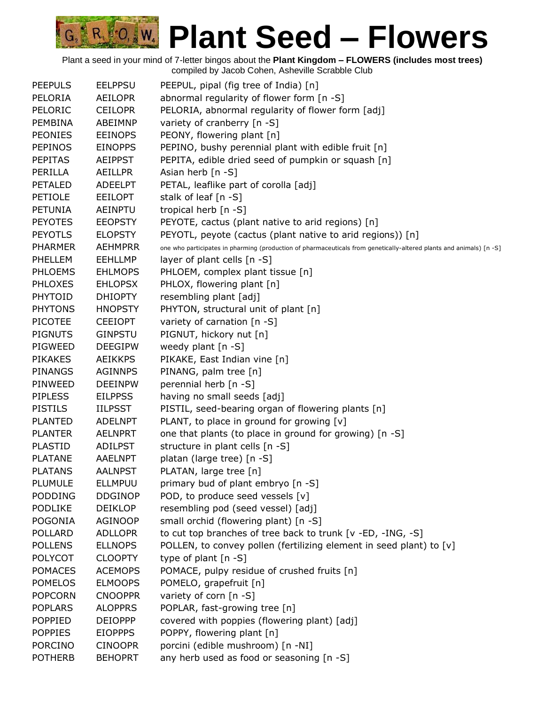| <b>PEEPULS</b> | <b>EELPPSU</b> | PEEPUL, pipal (fig tree of India) [n]                                                                               |
|----------------|----------------|---------------------------------------------------------------------------------------------------------------------|
| PELORIA        | <b>AEILOPR</b> | abnormal regularity of flower form [n -S]                                                                           |
| PELORIC        | <b>CEILOPR</b> | PELORIA, abnormal regularity of flower form [adj]                                                                   |
| <b>PEMBINA</b> | ABEIMNP        | variety of cranberry [n -S]                                                                                         |
| <b>PEONIES</b> | <b>EEINOPS</b> | PEONY, flowering plant [n]                                                                                          |
| <b>PEPINOS</b> | <b>EINOPPS</b> | PEPINO, bushy perennial plant with edible fruit [n]                                                                 |
| <b>PEPITAS</b> | <b>AEIPPST</b> | PEPITA, edible dried seed of pumpkin or squash [n]                                                                  |
| PERILLA        | <b>AEILLPR</b> | Asian herb [n -S]                                                                                                   |
| <b>PETALED</b> | <b>ADEELPT</b> | PETAL, leaflike part of corolla [adj]                                                                               |
| <b>PETIOLE</b> | <b>EEILOPT</b> | stalk of leaf [n -S]                                                                                                |
| <b>PETUNIA</b> | AEINPTU        | tropical herb [n -S]                                                                                                |
| <b>PEYOTES</b> | <b>EEOPSTY</b> | PEYOTE, cactus (plant native to arid regions) [n]                                                                   |
| <b>PEYOTLS</b> | <b>ELOPSTY</b> | PEYOTL, peyote (cactus (plant native to arid regions)) [n]                                                          |
| <b>PHARMER</b> | <b>AEHMPRR</b> | one who participates in pharming (production of pharmaceuticals from genetically-altered plants and animals) [n -S] |
| <b>PHELLEM</b> | <b>EEHLLMP</b> | layer of plant cells [n -S]                                                                                         |
| PHLOEMS        | <b>EHLMOPS</b> | PHLOEM, complex plant tissue [n]                                                                                    |
| <b>PHLOXES</b> | <b>EHLOPSX</b> | PHLOX, flowering plant [n]                                                                                          |
| <b>PHYTOID</b> | <b>DHIOPTY</b> | resembling plant [adj]                                                                                              |
| <b>PHYTONS</b> | <b>HNOPSTY</b> | PHYTON, structural unit of plant [n]                                                                                |
| <b>PICOTEE</b> | <b>CEEIOPT</b> | variety of carnation [n -S]                                                                                         |
| <b>PIGNUTS</b> | <b>GINPSTU</b> | PIGNUT, hickory nut [n]                                                                                             |
| PIGWEED        | <b>DEEGIPW</b> | weedy plant $[n - S]$                                                                                               |
| <b>PIKAKES</b> | <b>AEIKKPS</b> | PIKAKE, East Indian vine [n]                                                                                        |
| <b>PINANGS</b> | <b>AGINNPS</b> | PINANG, palm tree [n]                                                                                               |
| PINWEED        | <b>DEEINPW</b> | perennial herb [n -S]                                                                                               |
| <b>PIPLESS</b> | <b>EILPPSS</b> | having no small seeds [adj]                                                                                         |
| <b>PISTILS</b> | <b>IILPSST</b> | PISTIL, seed-bearing organ of flowering plants [n]                                                                  |
| <b>PLANTED</b> | <b>ADELNPT</b> | PLANT, to place in ground for growing [v]                                                                           |
| <b>PLANTER</b> | <b>AELNPRT</b> | one that plants (to place in ground for growing) [n -S]                                                             |
| <b>PLASTID</b> | <b>ADILPST</b> | structure in plant cells [n -S]                                                                                     |
| <b>PLATANE</b> | <b>AAELNPT</b> | platan (large tree) [n -S]                                                                                          |
| <b>PLATANS</b> | <b>AALNPST</b> | PLATAN, large tree [n]                                                                                              |
| <b>PLUMULE</b> | <b>ELLMPUU</b> | primary bud of plant embryo [n -S]                                                                                  |
| <b>PODDING</b> | <b>DDGINOP</b> | POD, to produce seed vessels [v]                                                                                    |
| <b>PODLIKE</b> | <b>DEIKLOP</b> | resembling pod (seed vessel) [adj]                                                                                  |
| <b>POGONIA</b> | AGINOOP        | small orchid (flowering plant) [n -S]                                                                               |
| <b>POLLARD</b> | <b>ADLLOPR</b> | to cut top branches of tree back to trunk [v -ED, -ING, -S]                                                         |
| <b>POLLENS</b> | <b>ELLNOPS</b> | POLLEN, to convey pollen (fertilizing element in seed plant) to [v]                                                 |
| <b>POLYCOT</b> | <b>CLOOPTY</b> | type of plant $[n - S]$                                                                                             |
| <b>POMACES</b> | <b>ACEMOPS</b> | POMACE, pulpy residue of crushed fruits [n]                                                                         |
| <b>POMELOS</b> | <b>ELMOOPS</b> | POMELO, grapefruit [n]                                                                                              |
| <b>POPCORN</b> | <b>CNOOPPR</b> | variety of corn [n -S]                                                                                              |
| <b>POPLARS</b> | <b>ALOPPRS</b> | POPLAR, fast-growing tree [n]                                                                                       |
| <b>POPPIED</b> | <b>DEIOPPP</b> | covered with poppies (flowering plant) [adj]                                                                        |
| <b>POPPIES</b> | <b>EIOPPPS</b> | POPPY, flowering plant [n]                                                                                          |
| <b>PORCINO</b> | <b>CINOOPR</b> | porcini (edible mushroom) [n -NI]                                                                                   |
| <b>POTHERB</b> | <b>BEHOPRT</b> | any herb used as food or seasoning [n -S]                                                                           |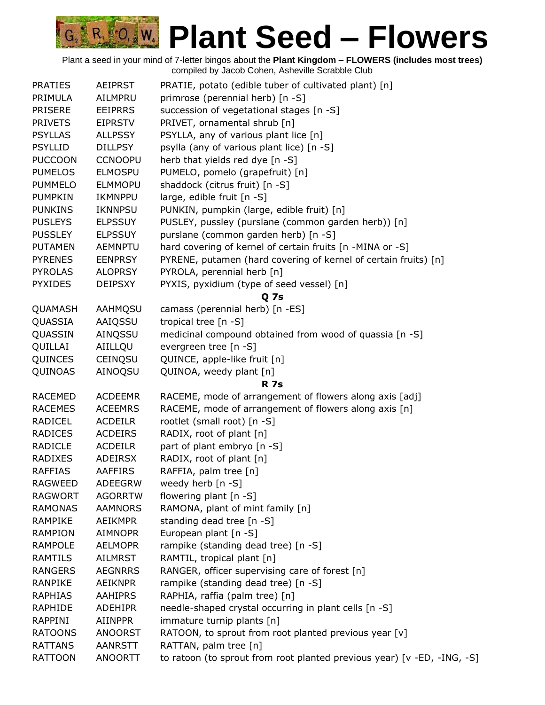| <b>PRATIES</b> | <b>AEIPRST</b> | PRATIE, potato (edible tuber of cultivated plant) [n]                   |
|----------------|----------------|-------------------------------------------------------------------------|
| PRIMULA        | AILMPRU        | primrose (perennial herb) [n -S]                                        |
| <b>PRISERE</b> | <b>EEIPRRS</b> | succession of vegetational stages [n -S]                                |
| <b>PRIVETS</b> | <b>EIPRSTV</b> | PRIVET, ornamental shrub [n]                                            |
| <b>PSYLLAS</b> | <b>ALLPSSY</b> | PSYLLA, any of various plant lice [n]                                   |
| <b>PSYLLID</b> | <b>DILLPSY</b> | psylla (any of various plant lice) [n -S]                               |
| <b>PUCCOON</b> | <b>CCNOOPU</b> | herb that yields red dye [n -S]                                         |
| <b>PUMELOS</b> | <b>ELMOSPU</b> | PUMELO, pomelo (grapefruit) [n]                                         |
| <b>PUMMELO</b> | <b>ELMMOPU</b> | shaddock (citrus fruit) [n -S]                                          |
| <b>PUMPKIN</b> | <b>IKMNPPU</b> | large, edible fruit [n -S]                                              |
| <b>PUNKINS</b> | <b>IKNNPSU</b> | PUNKIN, pumpkin (large, edible fruit) [n]                               |
| <b>PUSLEYS</b> | <b>ELPSSUY</b> | PUSLEY, pussley (purslane (common garden herb)) [n]                     |
| <b>PUSSLEY</b> | <b>ELPSSUY</b> | purslane (common garden herb) [n -S]                                    |
| <b>PUTAMEN</b> | <b>AEMNPTU</b> | hard covering of kernel of certain fruits [n -MINA or -S]               |
| <b>PYRENES</b> | <b>EENPRSY</b> | PYRENE, putamen (hard covering of kernel of certain fruits) [n]         |
| <b>PYROLAS</b> | <b>ALOPRSY</b> | PYROLA, perennial herb [n]                                              |
| <b>PYXIDES</b> | <b>DEIPSXY</b> | PYXIS, pyxidium (type of seed vessel) [n]                               |
|                |                | Q 7s                                                                    |
| QUAMASH        | AAHMQSU        | camass (perennial herb) [n -ES]                                         |
| QUASSIA        | AAIQSSU        | tropical tree [n -S]                                                    |
| QUASSIN        | AINQSSU        | medicinal compound obtained from wood of quassia [n -S]                 |
| QUILLAI        | AIILLQU        | evergreen tree [n -S]                                                   |
| QUINCES        | CEINQSU        | QUINCE, apple-like fruit [n]                                            |
| QUINOAS        | AINOQSU        | QUINOA, weedy plant [n]                                                 |
|                |                | <b>R</b> 7s                                                             |
| <b>RACEMED</b> | <b>ACDEEMR</b> | RACEME, mode of arrangement of flowers along axis [adj]                 |
| <b>RACEMES</b> | <b>ACEEMRS</b> | RACEME, mode of arrangement of flowers along axis [n]                   |
| <b>RADICEL</b> | <b>ACDEILR</b> | rootlet (small root) [n -S]                                             |
| <b>RADICES</b> | <b>ACDEIRS</b> | RADIX, root of plant [n]                                                |
| <b>RADICLE</b> | <b>ACDEILR</b> | part of plant embryo [n -S]                                             |
| <b>RADIXES</b> | <b>ADEIRSX</b> | RADIX, root of plant [n]                                                |
| <b>RAFFIAS</b> | <b>AAFFIRS</b> | RAFFIA, palm tree [n]                                                   |
| <b>RAGWEED</b> | <b>ADEEGRW</b> | weedy herb $[n - S]$                                                    |
| <b>RAGWORT</b> | <b>AGORRTW</b> | flowering plant [n -S]                                                  |
| <b>RAMONAS</b> | <b>AAMNORS</b> | RAMONA, plant of mint family [n]                                        |
| <b>RAMPIKE</b> | AEIKMPR        | standing dead tree [n -S]                                               |
| <b>RAMPION</b> | <b>AIMNOPR</b> | European plant [n -S]                                                   |
| <b>RAMPOLE</b> | <b>AELMOPR</b> | rampike (standing dead tree) [n -S]                                     |
| <b>RAMTILS</b> | AILMRST        | RAMTIL, tropical plant [n]                                              |
| <b>RANGERS</b> | <b>AEGNRRS</b> | RANGER, officer supervising care of forest [n]                          |
| <b>RANPIKE</b> | <b>AEIKNPR</b> | rampike (standing dead tree) [n -S]                                     |
| <b>RAPHIAS</b> | <b>AAHIPRS</b> | RAPHIA, raffia (palm tree) [n]                                          |
| RAPHIDE        | <b>ADEHIPR</b> | needle-shaped crystal occurring in plant cells [n -S]                   |
| <b>RAPPINI</b> | <b>AIINPPR</b> | immature turnip plants [n]                                              |
| <b>RATOONS</b> | <b>ANOORST</b> | RATOON, to sprout from root planted previous year [v]                   |
| <b>RATTANS</b> | AANRSTT        | RATTAN, palm tree [n]                                                   |
| <b>RATTOON</b> | <b>ANOORTT</b> | to ratoon (to sprout from root planted previous year) [v -ED, -ING, -S] |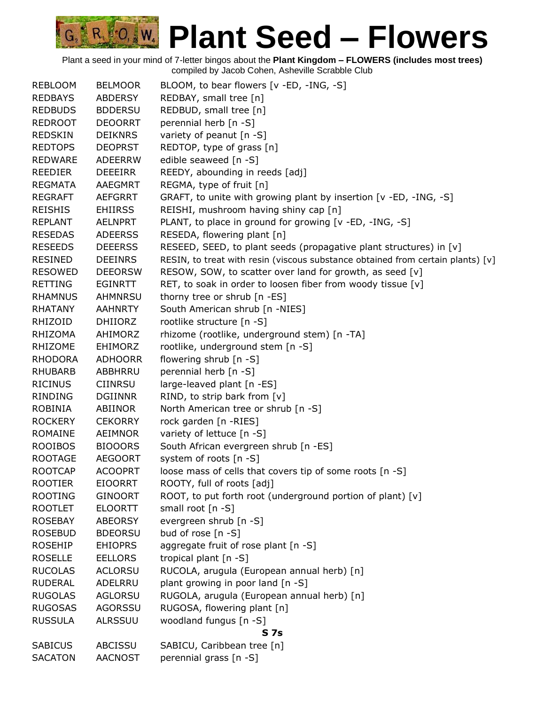| <b>REBLOOM</b> | <b>BELMOOR</b> | BLOOM, to bear flowers [v -ED, -ING, -S]                                        |
|----------------|----------------|---------------------------------------------------------------------------------|
| <b>REDBAYS</b> | <b>ABDERSY</b> | REDBAY, small tree [n]                                                          |
| <b>REDBUDS</b> | <b>BDDERSU</b> | REDBUD, small tree [n]                                                          |
| <b>REDROOT</b> | <b>DEOORRT</b> | perennial herb [n -S]                                                           |
| <b>REDSKIN</b> | <b>DEIKNRS</b> | variety of peanut [n -S]                                                        |
| <b>REDTOPS</b> | <b>DEOPRST</b> | REDTOP, type of grass [n]                                                       |
| <b>REDWARE</b> | <b>ADEERRW</b> | edible seaweed [n -S]                                                           |
| <b>REEDIER</b> | <b>DEEEIRR</b> | REEDY, abounding in reeds [adj]                                                 |
| <b>REGMATA</b> | <b>AAEGMRT</b> | REGMA, type of fruit [n]                                                        |
| <b>REGRAFT</b> | <b>AEFGRRT</b> | GRAFT, to unite with growing plant by insertion [v -ED, -ING, -S]               |
| <b>REISHIS</b> | <b>EHIIRSS</b> | REISHI, mushroom having shiny cap [n]                                           |
| <b>REPLANT</b> | <b>AELNPRT</b> | PLANT, to place in ground for growing [v -ED, -ING, -S]                         |
| <b>RESEDAS</b> | <b>ADEERSS</b> | RESEDA, flowering plant [n]                                                     |
| <b>RESEEDS</b> | <b>DEEERSS</b> | RESEED, SEED, to plant seeds (propagative plant structures) in [v]              |
| <b>RESINED</b> | <b>DEEINRS</b> | RESIN, to treat with resin (viscous substance obtained from certain plants) [v] |
| <b>RESOWED</b> | <b>DEEORSW</b> | RESOW, SOW, to scatter over land for growth, as seed [v]                        |
| <b>RETTING</b> | <b>EGINRTT</b> | RET, to soak in order to loosen fiber from woody tissue [v]                     |
| <b>RHAMNUS</b> | <b>AHMNRSU</b> | thorny tree or shrub [n -ES]                                                    |
| <b>RHATANY</b> | <b>AAHNRTY</b> | South American shrub [n -NIES]                                                  |
| RHIZOID        | <b>DHIIORZ</b> | rootlike structure [n -S]                                                       |
| <b>RHIZOMA</b> | AHIMORZ        | rhizome (rootlike, underground stem) [n -TA]                                    |
| <b>RHIZOME</b> | <b>EHIMORZ</b> | rootlike, underground stem [n -S]                                               |
| <b>RHODORA</b> | <b>ADHOORR</b> | flowering shrub $[n - S]$                                                       |
| <b>RHUBARB</b> | ABBHRRU        | perennial herb [n -S]                                                           |
| <b>RICINUS</b> | <b>CIINRSU</b> | large-leaved plant [n -ES]                                                      |
| <b>RINDING</b> | <b>DGIINNR</b> | RIND, to strip bark from [v]                                                    |
| ROBINIA        | ABIINOR        | North American tree or shrub [n -S]                                             |
| <b>ROCKERY</b> | <b>CEKORRY</b> | rock garden [n -RIES]                                                           |
| <b>ROMAINE</b> | AEIMNOR        | variety of lettuce [n -S]                                                       |
| <b>ROOIBOS</b> | <b>BIOOORS</b> | South African evergreen shrub [n -ES]                                           |
| <b>ROOTAGE</b> | <b>AEGOORT</b> | system of roots [n -S]                                                          |
| <b>ROOTCAP</b> | <b>ACOOPRT</b> | loose mass of cells that covers tip of some roots [n -S]                        |
| <b>ROOTIER</b> | <b>EIOORRT</b> | ROOTY, full of roots [adj]                                                      |
| <b>ROOTING</b> | <b>GINOORT</b> | ROOT, to put forth root (underground portion of plant) [v]                      |
| <b>ROOTLET</b> | <b>ELOORTT</b> | small root [n -S]                                                               |
| <b>ROSEBAY</b> | <b>ABEORSY</b> | evergreen shrub [n -S]                                                          |
| <b>ROSEBUD</b> | <b>BDEORSU</b> | bud of rose [n -S]                                                              |
| <b>ROSEHIP</b> | <b>EHIOPRS</b> | aggregate fruit of rose plant [n -S]                                            |
| <b>ROSELLE</b> | <b>EELLORS</b> | tropical plant [n -S]                                                           |
| <b>RUCOLAS</b> | <b>ACLORSU</b> | RUCOLA, arugula (European annual herb) [n]                                      |
| <b>RUDERAL</b> | ADELRRU        | plant growing in poor land [n -S]                                               |
| <b>RUGOLAS</b> | <b>AGLORSU</b> | RUGOLA, arugula (European annual herb) [n]                                      |
| <b>RUGOSAS</b> | <b>AGORSSU</b> | RUGOSA, flowering plant [n]                                                     |
| <b>RUSSULA</b> | <b>ALRSSUU</b> | woodland fungus [n -S]                                                          |
|                |                | S 7s                                                                            |
| <b>SABICUS</b> | ABCISSU        | SABICU, Caribbean tree [n]                                                      |
| <b>SACATON</b> | <b>AACNOST</b> | perennial grass [n -S]                                                          |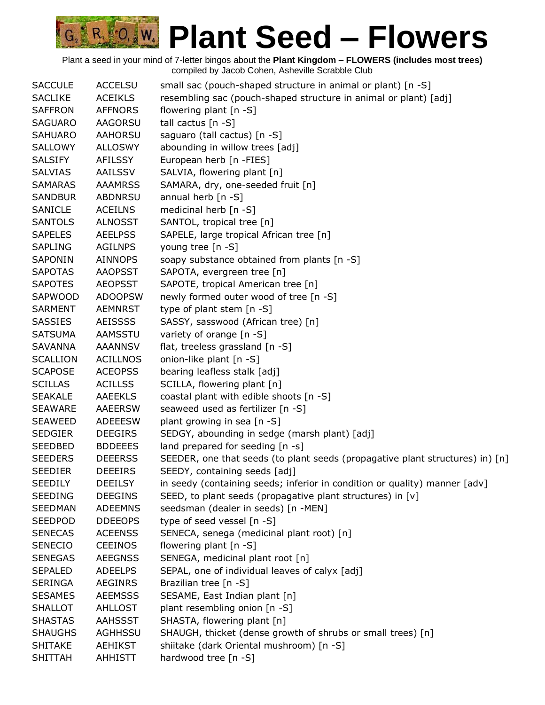

| <b>SACCULE</b>  | <b>ACCELSU</b>  | small sac (pouch-shaped structure in animal or plant) [n -S]                  |
|-----------------|-----------------|-------------------------------------------------------------------------------|
| <b>SACLIKE</b>  | <b>ACEIKLS</b>  | resembling sac (pouch-shaped structure in animal or plant) [adj]              |
| <b>SAFFRON</b>  | <b>AFFNORS</b>  | flowering plant [n -S]                                                        |
| <b>SAGUARO</b>  | AAGORSU         | tall cactus [n -S]                                                            |
| <b>SAHUARO</b>  | <b>AAHORSU</b>  | saguaro (tall cactus) [n -S]                                                  |
| SALLOWY         | <b>ALLOSWY</b>  | abounding in willow trees [adj]                                               |
| <b>SALSIFY</b>  | <b>AFILSSY</b>  | European herb [n -FIES]                                                       |
| <b>SALVIAS</b>  | AAILSSV         | SALVIA, flowering plant [n]                                                   |
| <b>SAMARAS</b>  | <b>AAAMRSS</b>  | SAMARA, dry, one-seeded fruit [n]                                             |
| <b>SANDBUR</b>  | <b>ABDNRSU</b>  | annual herb [n -S]                                                            |
| SANICLE         | <b>ACEILNS</b>  | medicinal herb [n -S]                                                         |
| <b>SANTOLS</b>  | <b>ALNOSST</b>  | SANTOL, tropical tree [n]                                                     |
| <b>SAPELES</b>  | <b>AEELPSS</b>  | SAPELE, large tropical African tree [n]                                       |
| <b>SAPLING</b>  | <b>AGILNPS</b>  | young tree [n -S]                                                             |
| SAPONIN         | <b>AINNOPS</b>  | soapy substance obtained from plants [n -S]                                   |
| <b>SAPOTAS</b>  | <b>AAOPSST</b>  | SAPOTA, evergreen tree [n]                                                    |
| <b>SAPOTES</b>  | <b>AEOPSST</b>  | SAPOTE, tropical American tree [n]                                            |
| SAPWOOD         | <b>ADOOPSW</b>  | newly formed outer wood of tree [n -S]                                        |
| <b>SARMENT</b>  | <b>AEMNRST</b>  | type of plant stem [n -S]                                                     |
| SASSIES         | <b>AEISSSS</b>  | SASSY, sasswood (African tree) [n]                                            |
| <b>SATSUMA</b>  | <b>AAMSSTU</b>  | variety of orange [n -S]                                                      |
| <b>SAVANNA</b>  | <b>AAANNSV</b>  | flat, treeless grassland [n -S]                                               |
| <b>SCALLION</b> | <b>ACILLNOS</b> | onion-like plant [n -S]                                                       |
| <b>SCAPOSE</b>  | <b>ACEOPSS</b>  | bearing leafless stalk [adj]                                                  |
| <b>SCILLAS</b>  | <b>ACILLSS</b>  | SCILLA, flowering plant [n]                                                   |
| <b>SEAKALE</b>  | <b>AAEEKLS</b>  | coastal plant with edible shoots [n -S]                                       |
| <b>SEAWARE</b>  | <b>AAEERSW</b>  | seaweed used as fertilizer [n -S]                                             |
| <b>SEAWEED</b>  | <b>ADEEESW</b>  | plant growing in sea [n -S]                                                   |
| <b>SEDGIER</b>  | <b>DEEGIRS</b>  | SEDGY, abounding in sedge (marsh plant) [adj]                                 |
| <b>SEEDBED</b>  | <b>BDDEEES</b>  | land prepared for seeding [n -s]                                              |
| <b>SEEDERS</b>  | <b>DEEERSS</b>  | SEEDER, one that seeds (to plant seeds (propagative plant structures) in) [n] |
| <b>SEEDIER</b>  | <b>DEEEIRS</b>  | SEEDY, containing seeds [adj]                                                 |
| <b>SEEDILY</b>  | <b>DEEILSY</b>  | in seedy (containing seeds; inferior in condition or quality) manner [adv]    |
| <b>SEEDING</b>  | <b>DEEGINS</b>  | SEED, to plant seeds (propagative plant structures) in [v]                    |
| <b>SEEDMAN</b>  | <b>ADEEMNS</b>  | seedsman (dealer in seeds) [n -MEN]                                           |
| <b>SEEDPOD</b>  | <b>DDEEOPS</b>  | type of seed vessel [n -S]                                                    |
| <b>SENECAS</b>  | <b>ACEENSS</b>  | SENECA, senega (medicinal plant root) [n]                                     |
| <b>SENECIO</b>  | <b>CEEINOS</b>  | flowering plant [n -S]                                                        |
| <b>SENEGAS</b>  | <b>AEEGNSS</b>  | SENEGA, medicinal plant root [n]                                              |
| <b>SEPALED</b>  | <b>ADEELPS</b>  | SEPAL, one of individual leaves of calyx [adj]                                |
| <b>SERINGA</b>  | <b>AEGINRS</b>  | Brazilian tree [n -S]                                                         |
| <b>SESAMES</b>  | <b>AEEMSSS</b>  | SESAME, East Indian plant [n]                                                 |
| <b>SHALLOT</b>  | <b>AHLLOST</b>  | plant resembling onion [n -S]                                                 |
| <b>SHASTAS</b>  | <b>AAHSSST</b>  | SHASTA, flowering plant [n]                                                   |
| <b>SHAUGHS</b>  | AGHHSSU         | SHAUGH, thicket (dense growth of shrubs or small trees) [n]                   |
| <b>SHITAKE</b>  | <b>AEHIKST</b>  | shiitake (dark Oriental mushroom) [n -S]                                      |
| <b>SHITTAH</b>  | <b>AHHISTT</b>  | hardwood tree [n -S]                                                          |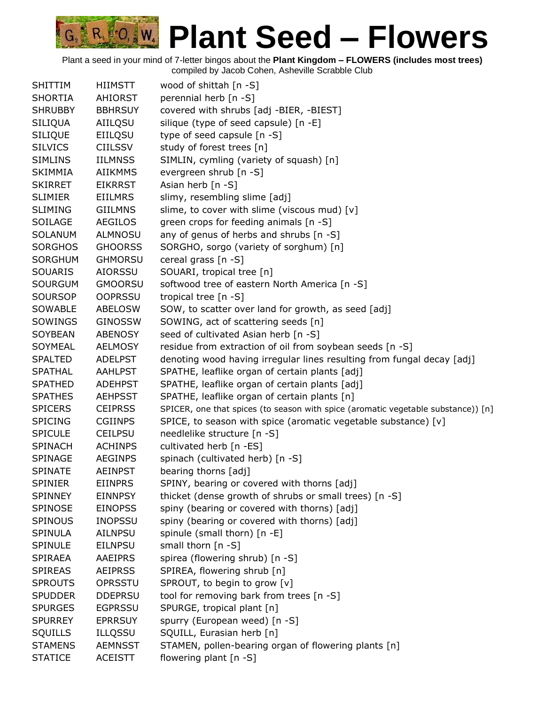| <b>SHITTIM</b> | <b>HIIMSTT</b> | wood of shittah [n -S]                                                            |
|----------------|----------------|-----------------------------------------------------------------------------------|
| <b>SHORTIA</b> | <b>AHIORST</b> | perennial herb [n -S]                                                             |
| <b>SHRUBBY</b> | <b>BBHRSUY</b> | covered with shrubs [adj -BIER, -BIEST]                                           |
| <b>SILIQUA</b> | AIILQSU        | silique (type of seed capsule) [n -E]                                             |
| <b>SILIQUE</b> | EIILQSU        | type of seed capsule $[n -S]$                                                     |
| <b>SILVICS</b> | <b>CIILSSV</b> | study of forest trees [n]                                                         |
| <b>SIMLINS</b> | <b>IILMNSS</b> | SIMLIN, cymling (variety of squash) [n]                                           |
| <b>SKIMMIA</b> | <b>AIIKMMS</b> | evergreen shrub [n -S]                                                            |
| <b>SKIRRET</b> | <b>EIKRRST</b> | Asian herb [n -S]                                                                 |
| <b>SLIMIER</b> | <b>EIILMRS</b> | slimy, resembling slime [adj]                                                     |
| <b>SLIMING</b> | <b>GIILMNS</b> | slime, to cover with slime (viscous mud) [v]                                      |
| SOILAGE        | <b>AEGILOS</b> | green crops for feeding animals [n -S]                                            |
| <b>SOLANUM</b> | <b>ALMNOSU</b> | any of genus of herbs and shrubs [n -S]                                           |
| <b>SORGHOS</b> | <b>GHOORSS</b> | SORGHO, sorgo (variety of sorghum) [n]                                            |
| <b>SORGHUM</b> | <b>GHMORSU</b> | cereal grass $[n - S]$                                                            |
| <b>SOUARIS</b> | <b>AIORSSU</b> | SOUARI, tropical tree [n]                                                         |
| <b>SOURGUM</b> | <b>GMOORSU</b> | softwood tree of eastern North America [n -S]                                     |
| <b>SOURSOP</b> | <b>OOPRSSU</b> | tropical tree $[n - S]$                                                           |
| SOWABLE        | <b>ABELOSW</b> | SOW, to scatter over land for growth, as seed [adj]                               |
| SOWINGS        | <b>GINOSSW</b> | SOWING, act of scattering seeds [n]                                               |
| <b>SOYBEAN</b> | <b>ABENOSY</b> | seed of cultivated Asian herb [n -S]                                              |
| SOYMEAL        | <b>AELMOSY</b> | residue from extraction of oil from soybean seeds [n -S]                          |
| <b>SPALTED</b> | <b>ADELPST</b> | denoting wood having irregular lines resulting from fungal decay [adj]            |
| <b>SPATHAL</b> | <b>AAHLPST</b> | SPATHE, leaflike organ of certain plants [adj]                                    |
| <b>SPATHED</b> | <b>ADEHPST</b> | SPATHE, leaflike organ of certain plants [adj]                                    |
| <b>SPATHES</b> | <b>AEHPSST</b> | SPATHE, leaflike organ of certain plants [n]                                      |
| <b>SPICERS</b> | <b>CEIPRSS</b> | SPICER, one that spices (to season with spice (aromatic vegetable substance)) [n] |
| <b>SPICING</b> | <b>CGIINPS</b> | SPICE, to season with spice (aromatic vegetable substance) [v]                    |
| <b>SPICULE</b> | <b>CEILPSU</b> | needlelike structure [n -S]                                                       |
| <b>SPINACH</b> | <b>ACHINPS</b> | cultivated herb [n -ES]                                                           |
| <b>SPINAGE</b> | <b>AEGINPS</b> | spinach (cultivated herb) [n -S]                                                  |
| <b>SPINATE</b> | <b>AEINPST</b> | bearing thorns [adj]                                                              |
| <b>SPINIER</b> | <b>EIINPRS</b> | SPINY, bearing or covered with thorns [adj]                                       |
| <b>SPINNEY</b> | <b>EINNPSY</b> | thicket (dense growth of shrubs or small trees) [n -S]                            |
| <b>SPINOSE</b> | <b>EINOPSS</b> | spiny (bearing or covered with thorns) [adj]                                      |
| <b>SPINOUS</b> | <b>INOPSSU</b> | spiny (bearing or covered with thorns) [adj]                                      |
| <b>SPINULA</b> | AILNPSU        | spinule (small thorn) [n -E]                                                      |
| SPINULE        | <b>EILNPSU</b> | small thorn $[n - S]$                                                             |
| <b>SPIRAEA</b> | <b>AAEIPRS</b> | spirea (flowering shrub) [n -S]                                                   |
| <b>SPIREAS</b> | <b>AEIPRSS</b> | SPIREA, flowering shrub [n]                                                       |
| <b>SPROUTS</b> | OPRSSTU        | SPROUT, to begin to grow [v]                                                      |
| <b>SPUDDER</b> | <b>DDEPRSU</b> | tool for removing bark from trees [n -S]                                          |
| <b>SPURGES</b> | <b>EGPRSSU</b> | SPURGE, tropical plant [n]                                                        |
| <b>SPURREY</b> | <b>EPRRSUY</b> | spurry (European weed) [n -S]                                                     |
| <b>SQUILLS</b> | <b>ILLQSSU</b> | SQUILL, Eurasian herb [n]                                                         |
| <b>STAMENS</b> | <b>AEMNSST</b> | STAMEN, pollen-bearing organ of flowering plants [n]                              |
| <b>STATICE</b> | <b>ACEISTT</b> | flowering plant [n -S]                                                            |
|                |                |                                                                                   |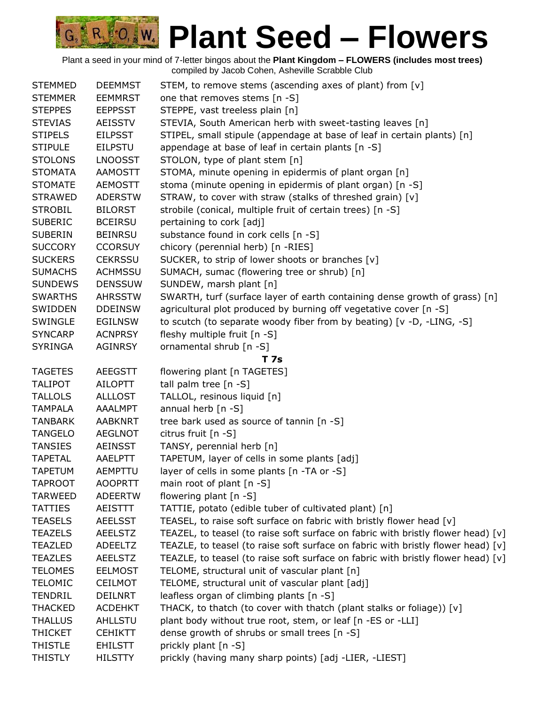| <b>STEMMED</b> | <b>DEEMMST</b> | STEM, to remove stems (ascending axes of plant) from [v]                         |
|----------------|----------------|----------------------------------------------------------------------------------|
| <b>STEMMER</b> | <b>EEMMRST</b> | one that removes stems [n -S]                                                    |
| <b>STEPPES</b> | <b>EEPPSST</b> | STEPPE, vast treeless plain [n]                                                  |
| <b>STEVIAS</b> | <b>AEISSTV</b> | STEVIA, South American herb with sweet-tasting leaves [n]                        |
| <b>STIPELS</b> | <b>EILPSST</b> | STIPEL, small stipule (appendage at base of leaf in certain plants) [n]          |
| <b>STIPULE</b> | <b>EILPSTU</b> | appendage at base of leaf in certain plants [n -S]                               |
| <b>STOLONS</b> | <b>LNOOSST</b> | STOLON, type of plant stem [n]                                                   |
| <b>STOMATA</b> | <b>AAMOSTT</b> | STOMA, minute opening in epidermis of plant organ [n]                            |
| <b>STOMATE</b> | <b>AEMOSTT</b> | stoma (minute opening in epidermis of plant organ) [n -S]                        |
| <b>STRAWED</b> | <b>ADERSTW</b> | STRAW, to cover with straw (stalks of threshed grain) [v]                        |
| <b>STROBIL</b> | <b>BILORST</b> | strobile (conical, multiple fruit of certain trees) [n -S]                       |
| <b>SUBERIC</b> | <b>BCEIRSU</b> | pertaining to cork [adj]                                                         |
| <b>SUBERIN</b> | <b>BEINRSU</b> | substance found in cork cells [n -S]                                             |
| <b>SUCCORY</b> | <b>CCORSUY</b> | chicory (perennial herb) [n -RIES]                                               |
| <b>SUCKERS</b> | <b>CEKRSSU</b> | SUCKER, to strip of lower shoots or branches [v]                                 |
| <b>SUMACHS</b> | <b>ACHMSSU</b> | SUMACH, sumac (flowering tree or shrub) [n]                                      |
| <b>SUNDEWS</b> | <b>DENSSUW</b> | SUNDEW, marsh plant [n]                                                          |
| <b>SWARTHS</b> | <b>AHRSSTW</b> | SWARTH, turf (surface layer of earth containing dense growth of grass) [n]       |
| SWIDDEN        | <b>DDEINSW</b> | agricultural plot produced by burning off vegetative cover [n -S]                |
| SWINGLE        | <b>EGILNSW</b> | to scutch (to separate woody fiber from by beating) [v -D, -LING, -S]            |
| <b>SYNCARP</b> | <b>ACNPRSY</b> | fleshy multiple fruit [n -S]                                                     |
| <b>SYRINGA</b> | <b>AGINRSY</b> | ornamental shrub [n -S]                                                          |
|                |                | T 7s                                                                             |
| <b>TAGETES</b> | <b>AEEGSTT</b> | flowering plant [n TAGETES]                                                      |
| <b>TALIPOT</b> | AILOPTT        | tall palm tree [n -S]                                                            |
| <b>TALLOLS</b> | <b>ALLLOST</b> | TALLOL, resinous liquid [n]                                                      |
| <b>TAMPALA</b> | <b>AAALMPT</b> | annual herb [n -S]                                                               |
| <b>TANBARK</b> | <b>AABKNRT</b> | tree bark used as source of tannin [n -S]                                        |
| <b>TANGELO</b> | <b>AEGLNOT</b> | citrus fruit $[n - S]$                                                           |
| <b>TANSIES</b> | <b>AEINSST</b> | TANSY, perennial herb [n]                                                        |
| <b>TAPETAL</b> | <b>AAELPTT</b> | TAPETUM, layer of cells in some plants [adj]                                     |
| <b>TAPETUM</b> | <b>AEMPTTU</b> | layer of cells in some plants [n -TA or -S]                                      |
| <b>TAPROOT</b> | <b>AOOPRTT</b> | main root of plant $[n - S]$                                                     |
| <b>TARWEED</b> | <b>ADEERTW</b> | flowering plant $[n - S]$                                                        |
| <b>TATTIES</b> | <b>AEISTTT</b> | TATTIE, potato (edible tuber of cultivated plant) [n]                            |
| <b>TEASELS</b> | <b>AEELSST</b> | TEASEL, to raise soft surface on fabric with bristly flower head [v]             |
| <b>TEAZELS</b> | <b>AEELSTZ</b> | TEAZEL, to teasel (to raise soft surface on fabric with bristly flower head) [v] |
| <b>TEAZLED</b> | <b>ADEELTZ</b> | TEAZLE, to teasel (to raise soft surface on fabric with bristly flower head) [v] |
| <b>TEAZLES</b> | <b>AEELSTZ</b> | TEAZLE, to teasel (to raise soft surface on fabric with bristly flower head) [v] |
| <b>TELOMES</b> | <b>EELMOST</b> | TELOME, structural unit of vascular plant [n]                                    |
| <b>TELOMIC</b> | <b>CEILMOT</b> | TELOME, structural unit of vascular plant [adj]                                  |
| <b>TENDRIL</b> | <b>DEILNRT</b> | leafless organ of climbing plants [n -S]                                         |
| <b>THACKED</b> | <b>ACDEHKT</b> | THACK, to thatch (to cover with thatch (plant stalks or foliage)) [v]            |
| <b>THALLUS</b> | <b>AHLLSTU</b> | plant body without true root, stem, or leaf [n -ES or -LLI]                      |
| <b>THICKET</b> | <b>CEHIKTT</b> | dense growth of shrubs or small trees [n -S]                                     |
| <b>THISTLE</b> | <b>EHILSTT</b> | prickly plant [n -S]                                                             |
| <b>THISTLY</b> | <b>HILSTTY</b> | prickly (having many sharp points) [adj -LIER, -LIEST]                           |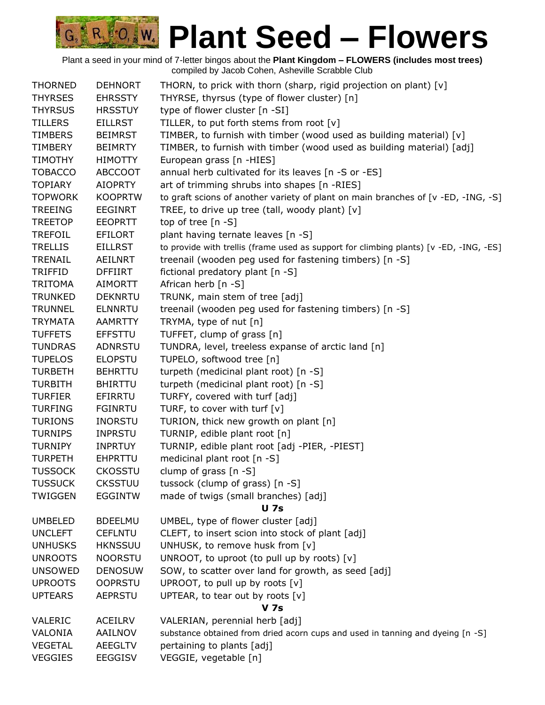| <b>THORNED</b> | <b>DEHNORT</b> | THORN, to prick with thorn (sharp, rigid projection on plant) [v]                      |
|----------------|----------------|----------------------------------------------------------------------------------------|
| <b>THYRSES</b> | <b>EHRSSTY</b> | THYRSE, thyrsus (type of flower cluster) [n]                                           |
| <b>THYRSUS</b> | <b>HRSSTUY</b> | type of flower cluster [n -SI]                                                         |
| <b>TILLERS</b> | <b>EILLRST</b> | TILLER, to put forth stems from root [v]                                               |
| <b>TIMBERS</b> | <b>BEIMRST</b> | TIMBER, to furnish with timber (wood used as building material) [v]                    |
| TIMBERY        | <b>BEIMRTY</b> | TIMBER, to furnish with timber (wood used as building material) [adj]                  |
| <b>TIMOTHY</b> | <b>HIMOTTY</b> | European grass [n -HIES]                                                               |
| <b>TOBACCO</b> | <b>ABCCOOT</b> | annual herb cultivated for its leaves [n -S or -ES]                                    |
| <b>TOPIARY</b> | <b>AIOPRTY</b> | art of trimming shrubs into shapes [n -RIES]                                           |
| <b>TOPWORK</b> | <b>KOOPRTW</b> | to graft scions of another variety of plant on main branches of [v -ED, -ING, -S]      |
| <b>TREEING</b> | <b>EEGINRT</b> | TREE, to drive up tree (tall, woody plant) [v]                                         |
| <b>TREETOP</b> | <b>EEOPRTT</b> | top of tree $[n -S]$                                                                   |
| <b>TREFOIL</b> | <b>EFILORT</b> | plant having ternate leaves [n -S]                                                     |
| <b>TRELLIS</b> | <b>EILLRST</b> | to provide with trellis (frame used as support for climbing plants) [v -ED, -ING, -ES] |
| TRENAIL        | AEILNRT        | treenail (wooden peg used for fastening timbers) [n -S]                                |
| TRIFFID        | DFFIIRT        | fictional predatory plant [n -S]                                                       |
| <b>TRITOMA</b> | <b>AIMORTT</b> | African herb [n -S]                                                                    |
| <b>TRUNKED</b> | <b>DEKNRTU</b> | TRUNK, main stem of tree [adj]                                                         |
| <b>TRUNNEL</b> | <b>ELNNRTU</b> | treenail (wooden peg used for fastening timbers) [n -S]                                |
| <b>TRYMATA</b> | <b>AAMRTTY</b> | TRYMA, type of nut [n]                                                                 |
| <b>TUFFETS</b> | <b>EFFSTTU</b> | TUFFET, clump of grass [n]                                                             |
| <b>TUNDRAS</b> | <b>ADNRSTU</b> | TUNDRA, level, treeless expanse of arctic land [n]                                     |
| <b>TUPELOS</b> | <b>ELOPSTU</b> | TUPELO, softwood tree [n]                                                              |
| <b>TURBETH</b> | <b>BEHRTTU</b> | turpeth (medicinal plant root) [n -S]                                                  |
| <b>TURBITH</b> | <b>BHIRTTU</b> | turpeth (medicinal plant root) [n -S]                                                  |
| <b>TURFIER</b> | EFIRRTU        | TURFY, covered with turf [adj]                                                         |
| <b>TURFING</b> | <b>FGINRTU</b> | TURF, to cover with turf $[v]$                                                         |
| <b>TURIONS</b> | <b>INORSTU</b> | TURION, thick new growth on plant [n]                                                  |
| <b>TURNIPS</b> | <b>INPRSTU</b> | TURNIP, edible plant root [n]                                                          |
| <b>TURNIPY</b> | <b>INPRTUY</b> | TURNIP, edible plant root [adj -PIER, -PIEST]                                          |
| <b>TURPETH</b> | <b>EHPRTTU</b> | medicinal plant root [n -S]                                                            |
| <b>TUSSOCK</b> | <b>CKOSSTU</b> | clump of grass $[n - S]$                                                               |
| TUSSUCK        | <b>CKSSTUU</b> | tussock (clump of grass) [n -S]                                                        |
| <b>TWIGGEN</b> | <b>EGGINTW</b> | made of twigs (small branches) [adj]                                                   |
|                |                | <b>U</b> 7s                                                                            |
| <b>UMBELED</b> | <b>BDEELMU</b> | UMBEL, type of flower cluster [adj]                                                    |
| <b>UNCLEFT</b> | <b>CEFLNTU</b> | CLEFT, to insert scion into stock of plant [adj]                                       |
| <b>UNHUSKS</b> | <b>HKNSSUU</b> | UNHUSK, to remove husk from [v]                                                        |
| <b>UNROOTS</b> | <b>NOORSTU</b> | UNROOT, to uproot (to pull up by roots) [v]                                            |
| <b>UNSOWED</b> | <b>DENOSUW</b> | SOW, to scatter over land for growth, as seed [adj]                                    |
| <b>UPROOTS</b> | <b>OOPRSTU</b> | UPROOT, to pull up by roots [v]                                                        |
| <b>UPTEARS</b> | <b>AEPRSTU</b> | UPTEAR, to tear out by roots [v]                                                       |
|                |                | <b>V</b> 7s                                                                            |
| <b>VALERIC</b> | <b>ACEILRV</b> | VALERIAN, perennial herb [adj]                                                         |
| VALONIA        | AAILNOV        | substance obtained from dried acorn cups and used in tanning and dyeing [n -S]         |
| <b>VEGETAL</b> | <b>AEEGLTV</b> | pertaining to plants [adj]                                                             |
| <b>VEGGIES</b> | <b>EEGGISV</b> | VEGGIE, vegetable [n]                                                                  |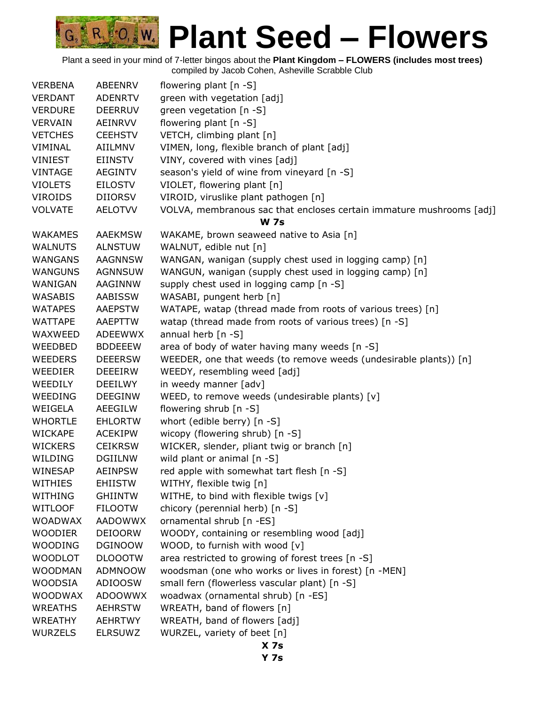| <b>VERBENA</b> | <b>ABEENRV</b> | flowering plant $[n - S]$                                            |
|----------------|----------------|----------------------------------------------------------------------|
| <b>VERDANT</b> | <b>ADENRTV</b> | green with vegetation [adj]                                          |
| <b>VERDURE</b> | <b>DEERRUV</b> | green vegetation [n -S]                                              |
| <b>VERVAIN</b> | AEINRVV        | flowering plant [n -S]                                               |
| <b>VETCHES</b> | <b>CEEHSTV</b> | VETCH, climbing plant [n]                                            |
| VIMINAL        | AIILMNV        | VIMEN, long, flexible branch of plant [adj]                          |
| <b>VINIEST</b> | <b>EIINSTV</b> | VINY, covered with vines [adj]                                       |
| <b>VINTAGE</b> | <b>AEGINTV</b> | season's yield of wine from vineyard [n -S]                          |
| <b>VIOLETS</b> | <b>EILOSTV</b> | VIOLET, flowering plant [n]                                          |
| <b>VIROIDS</b> | <b>DIIORSV</b> | VIROID, viruslike plant pathogen [n]                                 |
| <b>VOLVATE</b> | <b>AELOTVV</b> | VOLVA, membranous sac that encloses certain immature mushrooms [adj] |
|                |                | <b>W</b> 7s                                                          |
| <b>WAKAMES</b> | <b>AAEKMSW</b> | WAKAME, brown seaweed native to Asia [n]                             |
| <b>WALNUTS</b> | <b>ALNSTUW</b> | WALNUT, edible nut [n]                                               |
| WANGANS        | <b>AAGNNSW</b> | WANGAN, wanigan (supply chest used in logging camp) [n]              |
| <b>WANGUNS</b> | <b>AGNNSUW</b> | WANGUN, wanigan (supply chest used in logging camp) [n]              |
| WANIGAN        | AAGINNW        | supply chest used in logging camp [n -S]                             |
| <b>WASABIS</b> | AABISSW        | WASABI, pungent herb [n]                                             |
| <b>WATAPES</b> | <b>AAEPSTW</b> | WATAPE, watap (thread made from roots of various trees) [n]          |
| <b>WATTAPE</b> | AAEPTTW        | watap (thread made from roots of various trees) [n -S]               |
| WAXWEED        | ADEEWWX        | annual herb $[n - S]$                                                |
| WEEDBED        | <b>BDDEEEW</b> | area of body of water having many weeds [n -S]                       |
| <b>WEEDERS</b> | <b>DEEERSW</b> | WEEDER, one that weeds (to remove weeds (undesirable plants)) [n]    |
| <b>WEEDIER</b> | <b>DEEEIRW</b> | WEEDY, resembling weed [adj]                                         |
| WEEDILY        | <b>DEEILWY</b> | in weedy manner [adv]                                                |
| <b>WEEDING</b> | <b>DEEGINW</b> | WEED, to remove weeds (undesirable plants) [v]                       |
| WEIGELA        | AEEGILW        | flowering shrub [n -S]                                               |
| <b>WHORTLE</b> | <b>EHLORTW</b> | whort (edible berry) [n -S]                                          |
| <b>WICKAPE</b> | <b>ACEKIPW</b> | wicopy (flowering shrub) [n -S]                                      |
| <b>WICKERS</b> | <b>CEIKRSW</b> | WICKER, slender, pliant twig or branch [n]                           |
| WILDING        | <b>DGIILNW</b> | wild plant or animal [n -S]                                          |
| WINESAP        | <b>AEINPSW</b> | red apple with somewhat tart flesh [n -S]                            |
| WITHIES        | <b>EHIISTW</b> | WITHY, flexible twig [n]                                             |
| WITHING        | <b>GHIINTW</b> | WITHE, to bind with flexible twigs [v]                               |
| <b>WITLOOF</b> | <b>FILOOTW</b> | chicory (perennial herb) [n -S]                                      |
| <b>WOADWAX</b> | AADOWWX        | ornamental shrub [n -ES]                                             |
| <b>WOODIER</b> | <b>DEIOORW</b> | WOODY, containing or resembling wood [adj]                           |
| <b>WOODING</b> | <b>DGINOOW</b> | WOOD, to furnish with wood [v]                                       |
| <b>WOODLOT</b> | <b>DLOOOTW</b> | area restricted to growing of forest trees [n -S]                    |
| <b>WOODMAN</b> | <b>ADMNOOW</b> | woodsman (one who works or lives in forest) [n -MEN]                 |
| <b>WOODSIA</b> | <b>ADIOOSW</b> | small fern (flowerless vascular plant) [n -S]                        |
| <b>WOODWAX</b> | <b>ADOOWWX</b> | woadwax (ornamental shrub) [n -ES]                                   |
| <b>WREATHS</b> | <b>AEHRSTW</b> | WREATH, band of flowers [n]                                          |
| <b>WREATHY</b> | <b>AEHRTWY</b> | WREATH, band of flowers [adj]                                        |
| <b>WURZELS</b> | <b>ELRSUWZ</b> | WURZEL, variety of beet [n]                                          |
|                |                | X <sub>7s</sub>                                                      |